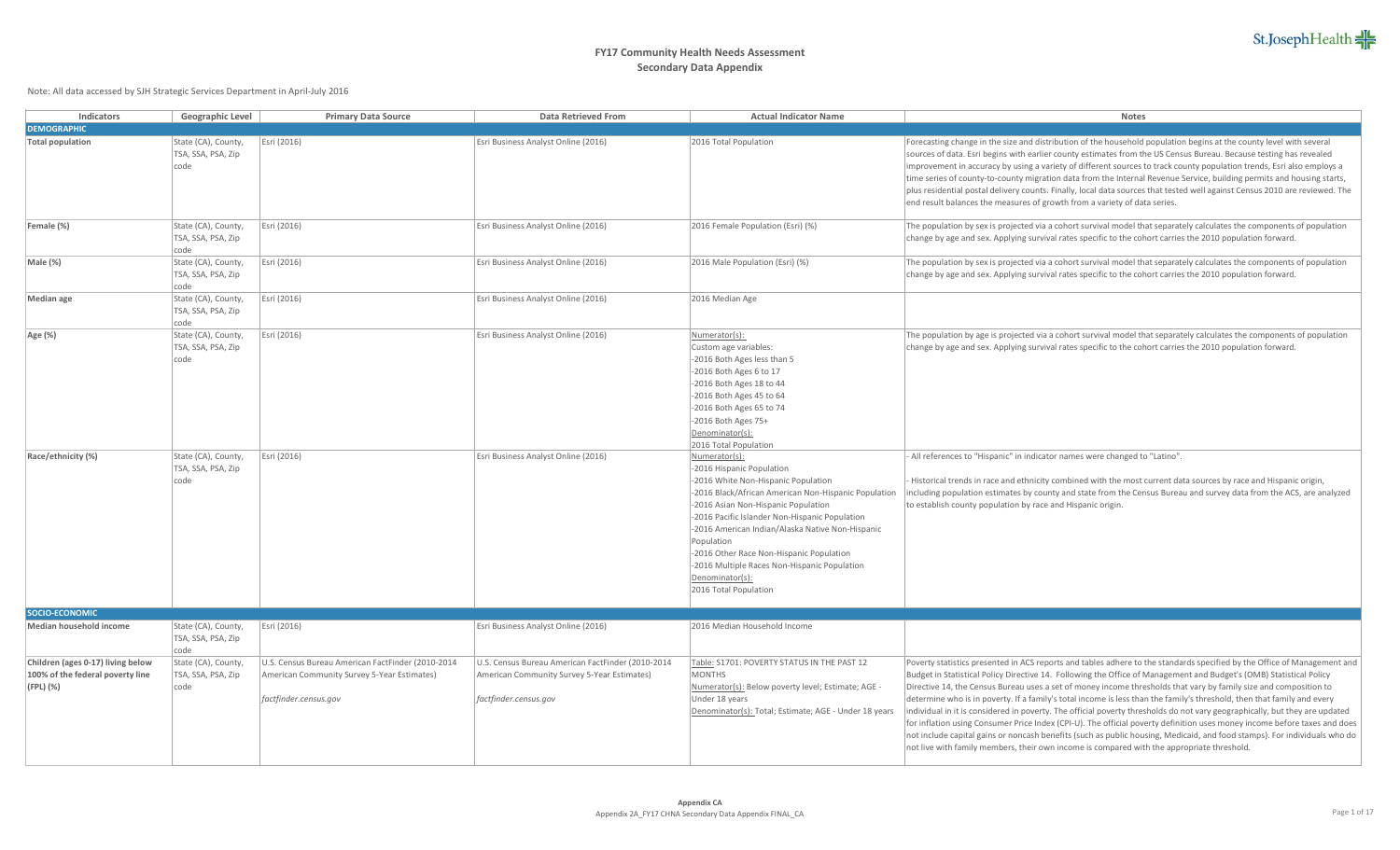| <b>Indicators</b>                                                                  | Geographic Level                                  | <b>Primary Data Source</b>                                                                                                | <b>Data Retrieved From</b>                                                                                                | <b>Actual Indicator Name</b>                                                                                                                                                                                                                                                                                                                                                                                                                 | <b>Notes</b>                                                                                                                                                                                                                                                                                                                                                                                                                                                                                                                                                                                                                                                                                                                                                                                                                                                                                                                                                                           |
|------------------------------------------------------------------------------------|---------------------------------------------------|---------------------------------------------------------------------------------------------------------------------------|---------------------------------------------------------------------------------------------------------------------------|----------------------------------------------------------------------------------------------------------------------------------------------------------------------------------------------------------------------------------------------------------------------------------------------------------------------------------------------------------------------------------------------------------------------------------------------|----------------------------------------------------------------------------------------------------------------------------------------------------------------------------------------------------------------------------------------------------------------------------------------------------------------------------------------------------------------------------------------------------------------------------------------------------------------------------------------------------------------------------------------------------------------------------------------------------------------------------------------------------------------------------------------------------------------------------------------------------------------------------------------------------------------------------------------------------------------------------------------------------------------------------------------------------------------------------------------|
| <b>DEMOGRAPHIC</b>                                                                 |                                                   |                                                                                                                           |                                                                                                                           |                                                                                                                                                                                                                                                                                                                                                                                                                                              |                                                                                                                                                                                                                                                                                                                                                                                                                                                                                                                                                                                                                                                                                                                                                                                                                                                                                                                                                                                        |
| <b>Total population</b>                                                            | State (CA), County,<br>TSA, SSA, PSA, Zip<br>code | Esri (2016)                                                                                                               | Esri Business Analyst Online (2016)                                                                                       | 2016 Total Population                                                                                                                                                                                                                                                                                                                                                                                                                        | Forecasting change in the size and distribution of the household population begins at the county level with several<br>sources of data. Esri begins with earlier county estimates from the US Census Bureau. Because testing has revealed<br>improvement in accuracy by using a variety of different sources to track county population trends, Esri also employs a<br>time series of county-to-county migration data from the Internal Revenue Service, building permits and housing starts,<br>plus residential postal delivery counts. Finally, local data sources that tested well against Census 2010 are reviewed. The<br>end result balances the measures of growth from a variety of data series.                                                                                                                                                                                                                                                                              |
| Female (%)                                                                         | State (CA), County,<br>TSA, SSA, PSA, Zip<br>code | Esri (2016)                                                                                                               | Esri Business Analyst Online (2016)                                                                                       | 2016 Female Population (Esri) (%)                                                                                                                                                                                                                                                                                                                                                                                                            | The population by sex is projected via a cohort survival model that separately calculates the components of population<br>change by age and sex. Applying survival rates specific to the cohort carries the 2010 population forward.                                                                                                                                                                                                                                                                                                                                                                                                                                                                                                                                                                                                                                                                                                                                                   |
| Male (%)                                                                           | State (CA), County,<br>TSA, SSA, PSA, Zip<br>code | Esri (2016)                                                                                                               | Esri Business Analyst Online (2016)                                                                                       | 2016 Male Population (Esri) (%)                                                                                                                                                                                                                                                                                                                                                                                                              | The population by sex is projected via a cohort survival model that separately calculates the components of population<br>change by age and sex. Applying survival rates specific to the cohort carries the 2010 population forward.                                                                                                                                                                                                                                                                                                                                                                                                                                                                                                                                                                                                                                                                                                                                                   |
| <b>Median</b> age                                                                  | State (CA), County,<br>TSA, SSA, PSA, Zip<br>code | Esri (2016)                                                                                                               | Esri Business Analyst Online (2016)                                                                                       | 2016 Median Age                                                                                                                                                                                                                                                                                                                                                                                                                              |                                                                                                                                                                                                                                                                                                                                                                                                                                                                                                                                                                                                                                                                                                                                                                                                                                                                                                                                                                                        |
| Age (%)                                                                            | State (CA), County,<br>TSA, SSA, PSA, Zip<br>code | Esri (2016)                                                                                                               | Esri Business Analyst Online (2016)                                                                                       | Numerator(s):<br>Custom age variables:<br>-2016 Both Ages less than 5<br>-2016 Both Ages 6 to 17<br>-2016 Both Ages 18 to 44<br>-2016 Both Ages 45 to 64<br>-2016 Both Ages 65 to 74<br>-2016 Both Ages 75+<br>Denominator(s):<br>2016 Total Population                                                                                                                                                                                      | The population by age is projected via a cohort survival model that separately calculates the components of population<br>change by age and sex. Applying survival rates specific to the cohort carries the 2010 population forward.                                                                                                                                                                                                                                                                                                                                                                                                                                                                                                                                                                                                                                                                                                                                                   |
| Race/ethnicity (%)                                                                 | State (CA), County,<br>TSA, SSA, PSA, Zip<br>code | Esri (2016)                                                                                                               | Esri Business Analyst Online (2016)                                                                                       | Numerator(s):<br>-2016 Hispanic Population<br>-2016 White Non-Hispanic Population<br>-2016 Black/African American Non-Hispanic Population<br>-2016 Asian Non-Hispanic Population<br>-2016 Pacific Islander Non-Hispanic Population<br>-2016 American Indian/Alaska Native Non-Hispanic<br>Population<br>-2016 Other Race Non-Hispanic Population<br>-2016 Multiple Races Non-Hispanic Population<br>Denominator(s):<br>2016 Total Population | All references to "Hispanic" in indicator names were changed to "Latino".<br>Historical trends in race and ethnicity combined with the most current data sources by race and Hispanic origin,<br>including population estimates by county and state from the Census Bureau and survey data from the ACS, are analyzed<br>to establish county population by race and Hispanic origin.                                                                                                                                                                                                                                                                                                                                                                                                                                                                                                                                                                                                   |
| SOCIO-ECONOMIC                                                                     |                                                   |                                                                                                                           |                                                                                                                           |                                                                                                                                                                                                                                                                                                                                                                                                                                              |                                                                                                                                                                                                                                                                                                                                                                                                                                                                                                                                                                                                                                                                                                                                                                                                                                                                                                                                                                                        |
| Median household income                                                            | State (CA), County,<br>TSA, SSA, PSA, Zip<br>code | Esri (2016)                                                                                                               | Esri Business Analyst Online (2016)                                                                                       | 2016 Median Household Income                                                                                                                                                                                                                                                                                                                                                                                                                 |                                                                                                                                                                                                                                                                                                                                                                                                                                                                                                                                                                                                                                                                                                                                                                                                                                                                                                                                                                                        |
| Children (ages 0-17) living below<br>100% of the federal poverty line<br>(FPL) (%) | State (CA), County<br>TSA, SSA, PSA, Zip<br>code  | U.S. Census Bureau American FactFinder (2010-2014<br>American Community Survey 5-Year Estimates)<br>factfinder.census.gov | U.S. Census Bureau American FactFinder (2010-2014<br>American Community Survey 5-Year Estimates)<br>factfinder.census.gov | Table: S1701: POVERTY STATUS IN THE PAST 12<br><b>MONTHS</b><br>Numerator(s): Below poverty level; Estimate; AGE -<br>Under 18 years<br>Denominator(s): Total; Estimate; AGE - Under 18 years                                                                                                                                                                                                                                                | Poverty statistics presented in ACS reports and tables adhere to the standards specified by the Office of Management and<br>Budget in Statistical Policy Directive 14. Following the Office of Management and Budget's (OMB) Statistical Policy<br>Directive 14, the Census Bureau uses a set of money income thresholds that vary by family size and composition to<br>determine who is in poverty. If a family's total income is less than the family's threshold, then that family and every<br>individual in it is considered in poverty. The official poverty thresholds do not vary geographically, but they are updated<br>for inflation using Consumer Price Index (CPI-U). The official poverty definition uses money income before taxes and does<br>not include capital gains or noncash benefits (such as public housing, Medicaid, and food stamps). For individuals who do<br>not live with family members, their own income is compared with the appropriate threshold. |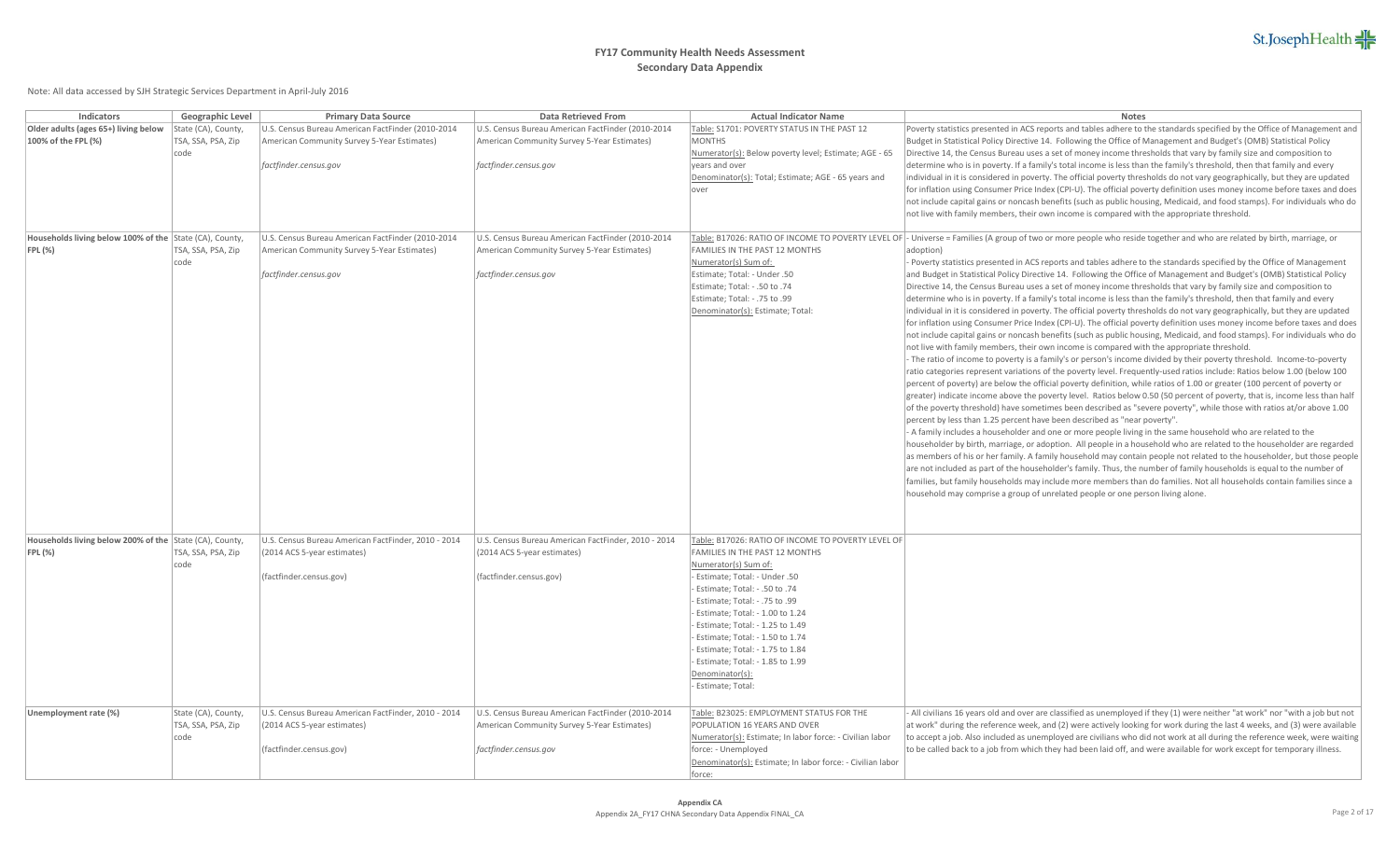| Indicators                                                             | Geographic Level                                  | <b>Primary Data Source</b>                                                                                                | Data Retrieved From                                                                                                       | <b>Actual Indicator Name</b>                                                                                                                                                                                                                                                                                                                                                                                                                        | Notes                                                                                                                                                                                                                                                                                                                                                                                                                                                                                                                                                                                                                                                                                                                                                                                                                                                                                                                                                                                                                                                                                                                                                                                                                                                                                                                                                                                                                                                                                                                                                                                                                                                                                                                                                                                                                                                                                                                                                                                                                                                                                                                                                                                                                                                                                                                                                                                                                                                                                                                                                                                                          |
|------------------------------------------------------------------------|---------------------------------------------------|---------------------------------------------------------------------------------------------------------------------------|---------------------------------------------------------------------------------------------------------------------------|-----------------------------------------------------------------------------------------------------------------------------------------------------------------------------------------------------------------------------------------------------------------------------------------------------------------------------------------------------------------------------------------------------------------------------------------------------|----------------------------------------------------------------------------------------------------------------------------------------------------------------------------------------------------------------------------------------------------------------------------------------------------------------------------------------------------------------------------------------------------------------------------------------------------------------------------------------------------------------------------------------------------------------------------------------------------------------------------------------------------------------------------------------------------------------------------------------------------------------------------------------------------------------------------------------------------------------------------------------------------------------------------------------------------------------------------------------------------------------------------------------------------------------------------------------------------------------------------------------------------------------------------------------------------------------------------------------------------------------------------------------------------------------------------------------------------------------------------------------------------------------------------------------------------------------------------------------------------------------------------------------------------------------------------------------------------------------------------------------------------------------------------------------------------------------------------------------------------------------------------------------------------------------------------------------------------------------------------------------------------------------------------------------------------------------------------------------------------------------------------------------------------------------------------------------------------------------------------------------------------------------------------------------------------------------------------------------------------------------------------------------------------------------------------------------------------------------------------------------------------------------------------------------------------------------------------------------------------------------------------------------------------------------------------------------------------------------|
| Older adults (ages 65+) living below<br>100% of the FPL (%)            | State (CA), County,<br>TSA, SSA, PSA, Zip<br>code | U.S. Census Bureau American FactFinder (2010-2014<br>American Community Survey 5-Year Estimates)<br>factfinder.census.gov | U.S. Census Bureau American FactFinder (2010-2014<br>American Community Survey 5-Year Estimates)<br>factfinder.census.gov | Table: S1701: POVERTY STATUS IN THE PAST 12<br><b>MONTHS</b><br>Numerator(s): Below poverty level; Estimate; AGE - 65<br>vears and over<br>Denominator(s): Total; Estimate; AGE - 65 years and<br>lover                                                                                                                                                                                                                                             | Poverty statistics presented in ACS reports and tables adhere to the standards specified by the Office of Management and<br>Budget in Statistical Policy Directive 14. Following the Office of Management and Budget's (OMB) Statistical Policy<br>Directive 14, the Census Bureau uses a set of money income thresholds that vary by family size and composition to<br>determine who is in poverty. If a family's total income is less than the family's threshold, then that family and every<br>individual in it is considered in poverty. The official poverty thresholds do not vary geographically, but they are updated<br>for inflation using Consumer Price Index (CPI-U). The official poverty definition uses money income before taxes and does<br>not include capital gains or noncash benefits (such as public housing, Medicaid, and food stamps). For individuals who do<br>not live with family members, their own income is compared with the appropriate threshold.                                                                                                                                                                                                                                                                                                                                                                                                                                                                                                                                                                                                                                                                                                                                                                                                                                                                                                                                                                                                                                                                                                                                                                                                                                                                                                                                                                                                                                                                                                                                                                                                                         |
| Households living below 100% of the State (CA), County,<br>$ FPL(\%) $ | TSA, SSA, PSA, Zip<br>code                        | U.S. Census Bureau American FactFinder (2010-2014<br>American Community Survey 5-Year Estimates)<br>factfinder.census.gov | U.S. Census Bureau American FactFinder (2010-2014<br>American Community Survey 5-Year Estimates)<br>factfinder.census.gov | FAMILIES IN THE PAST 12 MONTHS<br>Numerator(s) Sum of:<br>Estimate; Total: - Under .50<br>Estimate; Total: - .50 to .74<br>Estimate; Total: - .75 to .99<br>Denominator(s): Estimate; Total:                                                                                                                                                                                                                                                        | Table: B17026: RATIO OF INCOME TO POVERTY LEVEL OF - Universe = Families (A group of two or more people who reside together and who are related by birth, marriage, or<br>adoption)<br>Poverty statistics presented in ACS reports and tables adhere to the standards specified by the Office of Management<br>and Budget in Statistical Policy Directive 14. Following the Office of Management and Budget's (OMB) Statistical Policy<br>Directive 14, the Census Bureau uses a set of money income thresholds that vary by family size and composition to<br>determine who is in poverty. If a family's total income is less than the family's threshold, then that family and every<br>individual in it is considered in poverty. The official poverty thresholds do not vary geographically, but they are updated<br>for inflation using Consumer Price Index (CPI-U). The official poverty definition uses money income before taxes and does<br>not include capital gains or noncash benefits (such as public housing, Medicaid, and food stamps). For individuals who do<br>not live with family members, their own income is compared with the appropriate threshold.<br>- The ratio of income to poverty is a family's or person's income divided by their poverty threshold. Income-to-poverty<br>ratio categories represent variations of the poverty level. Frequently-used ratios include: Ratios below 1.00 (below 100<br>percent of poverty) are below the official poverty definition, while ratios of 1.00 or greater (100 percent of poverty or<br>greater) indicate income above the poverty level. Ratios below 0.50 (50 percent of poverty, that is, income less than half<br>of the poverty threshold) have sometimes been described as "severe poverty", while those with ratios at/or above 1.00<br>percent by less than 1.25 percent have been described as "near poverty".<br>- A family includes a householder and one or more people living in the same household who are related to the<br>householder by birth, marriage, or adoption. All people in a household who are related to the householder are regarded<br>as members of his or her family. A family household may contain people not related to the householder, but those people<br>are not included as part of the householder's family. Thus, the number of family households is equal to the number of<br>families, but family households may include more members than do families. Not all households contain families since a<br>household may comprise a group of unrelated people or one person living alone. |
| Households living below 200% of the State (CA), County,<br>FPL(%)      | TSA, SSA, PSA, Zip<br>code                        | U.S. Census Bureau American FactFinder, 2010 - 2014<br>(2014 ACS 5-year estimates)<br>(factfinder.census.gov)             | U.S. Census Bureau American FactFinder, 2010 - 2014<br>(2014 ACS 5-year estimates)<br>(factfinder.census.gov)             | Table: B17026: RATIO OF INCOME TO POVERTY LEVEL OF<br><b>FAMILIES IN THE PAST 12 MONTHS</b><br>Numerator(s) Sum of:<br>- Estimate; Total: - Under .50<br>- Estimate; Total: - .50 to .74<br>- Estimate; Total: - .75 to .99<br>Estimate; Total: - 1.00 to 1.24<br>Estimate; Total: - 1.25 to 1.49<br>Estimate; Total: - 1.50 to 1.74<br>- Estimate; Total: - 1.75 to 1.84<br>Estimate; Total: - 1.85 to 1.99<br>Denominator(s):<br>Estimate; Total: |                                                                                                                                                                                                                                                                                                                                                                                                                                                                                                                                                                                                                                                                                                                                                                                                                                                                                                                                                                                                                                                                                                                                                                                                                                                                                                                                                                                                                                                                                                                                                                                                                                                                                                                                                                                                                                                                                                                                                                                                                                                                                                                                                                                                                                                                                                                                                                                                                                                                                                                                                                                                                |
| Unemployment rate (%)                                                  | State (CA), County,<br>TSA, SSA, PSA, Zip<br>code | U.S. Census Bureau American FactFinder, 2010 - 2014<br>(2014 ACS 5-year estimates)<br>(factfinder.census.gov)             | U.S. Census Bureau American FactFinder (2010-2014<br>American Community Survey 5-Year Estimates)<br>factfinder.census.gov | Table: B23025: EMPLOYMENT STATUS FOR THE<br>POPULATION 16 YEARS AND OVER<br>Numerator(s): Estimate; In labor force: - Civilian labor<br>force: - Unemployed<br>Denominator(s): Estimate; In labor force: - Civilian labor<br>force:                                                                                                                                                                                                                 | All civilians 16 years old and over are classified as unemployed if they (1) were neither "at work" nor "with a job but not<br>at work" during the reference week, and (2) were actively looking for work during the last 4 weeks, and (3) were available<br>to accept a job. Also included as unemployed are civilians who did not work at all during the reference week, were waiting<br>to be called back to a job from which they had been laid off, and were available for work except for temporary illness.                                                                                                                                                                                                                                                                                                                                                                                                                                                                                                                                                                                                                                                                                                                                                                                                                                                                                                                                                                                                                                                                                                                                                                                                                                                                                                                                                                                                                                                                                                                                                                                                                                                                                                                                                                                                                                                                                                                                                                                                                                                                                             |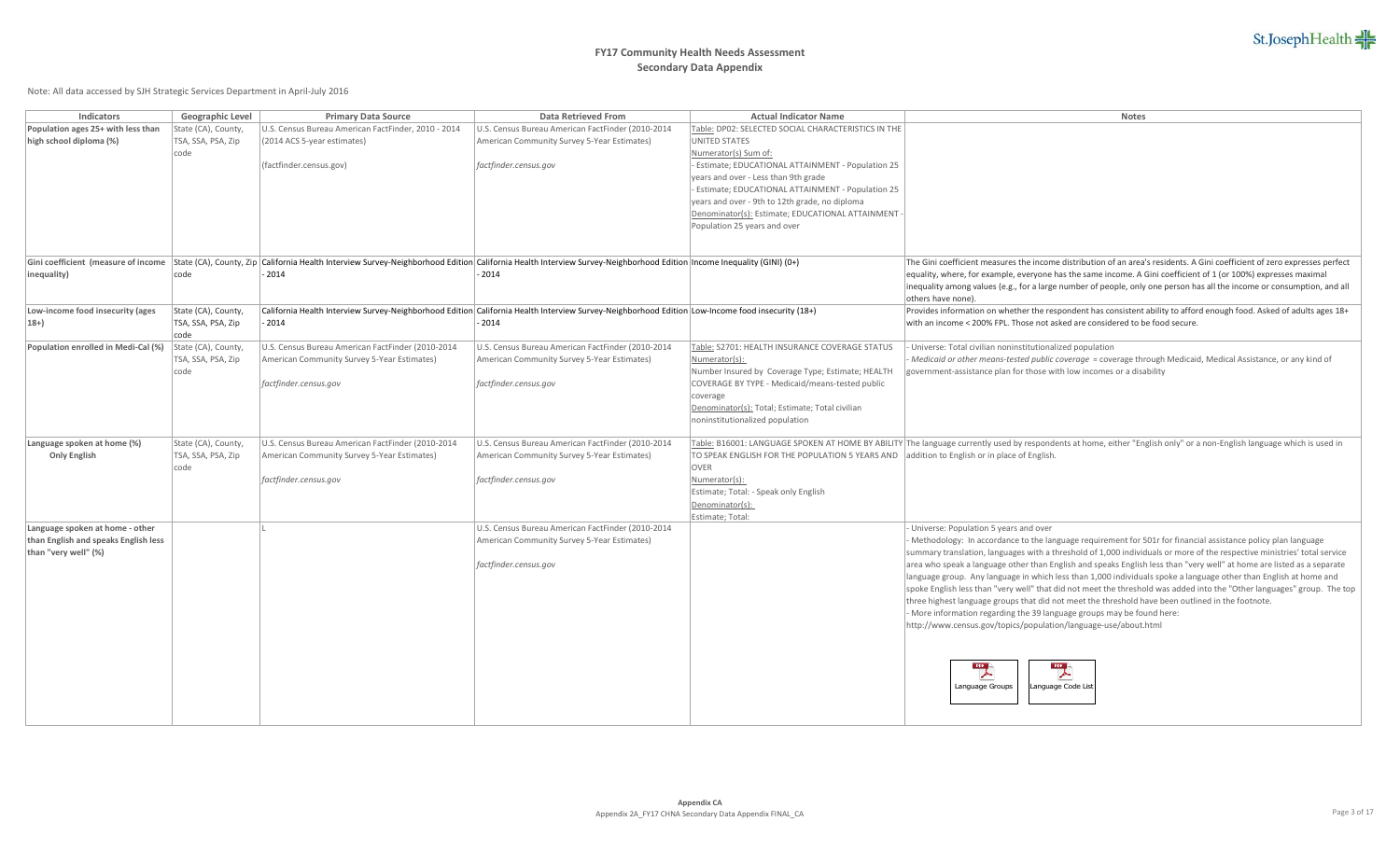# **FY17 Community Health Needs Assessment Secondary Data Appendix**

| Indicators                           | Geographic Level    | <b>Primary Data Source</b>                          | Data Retrieved From                                                                                                                                                   | <b>Actual Indicator Name</b>                                                                | <b>Notes</b>                                                                                                                                                           |
|--------------------------------------|---------------------|-----------------------------------------------------|-----------------------------------------------------------------------------------------------------------------------------------------------------------------------|---------------------------------------------------------------------------------------------|------------------------------------------------------------------------------------------------------------------------------------------------------------------------|
| Population ages 25+ with less than   | State (CA), County, | U.S. Census Bureau American FactFinder, 2010 - 2014 | U.S. Census Bureau American FactFinder (2010-2014                                                                                                                     | Table: DP02: SELECTED SOCIAL CHARACTERISTICS IN THE                                         |                                                                                                                                                                        |
| high school diploma (%)              | TSA, SSA, PSA, Zip  | (2014 ACS 5-year estimates)                         | American Community Survey 5-Year Estimates)                                                                                                                           | <b>UNITED STATES</b>                                                                        |                                                                                                                                                                        |
|                                      | code                |                                                     |                                                                                                                                                                       | Numerator(s) Sum of:                                                                        |                                                                                                                                                                        |
|                                      |                     | (factfinder.census.gov)                             | factfinder.census.gov                                                                                                                                                 | - Estimate; EDUCATIONAL ATTAINMENT - Population 25                                          |                                                                                                                                                                        |
|                                      |                     |                                                     |                                                                                                                                                                       | years and over - Less than 9th grade                                                        |                                                                                                                                                                        |
|                                      |                     |                                                     |                                                                                                                                                                       | Estimate; EDUCATIONAL ATTAINMENT - Population 25                                            |                                                                                                                                                                        |
|                                      |                     |                                                     |                                                                                                                                                                       | years and over - 9th to 12th grade, no diploma                                              |                                                                                                                                                                        |
|                                      |                     |                                                     |                                                                                                                                                                       | Denominator(s): Estimate; EDUCATIONAL ATTAINMENT                                            |                                                                                                                                                                        |
|                                      |                     |                                                     |                                                                                                                                                                       | Population 25 years and over                                                                |                                                                                                                                                                        |
|                                      |                     |                                                     |                                                                                                                                                                       |                                                                                             |                                                                                                                                                                        |
|                                      |                     |                                                     |                                                                                                                                                                       |                                                                                             |                                                                                                                                                                        |
| Gini coefficient (measure of income  |                     |                                                     | State (CA), County, Zip California Health Interview Survey-Neighborhood Edition California Health Interview Survey-Neighborhood Edition Income Inequality (GINI) (0+) |                                                                                             | The Gini coefficient measures the income distribution of an area's residents. A Gini coefficient of zero expresses perfect                                             |
| inequality)                          | code                | $-2014$                                             | $-2014$                                                                                                                                                               |                                                                                             | equality, where, for example, everyone has the same income. A Gini coefficient of 1 (or 100%) expresses maximal                                                        |
|                                      |                     |                                                     |                                                                                                                                                                       |                                                                                             | inequality among values (e.g., for a large number of people, only one person has all the income or consumption, and all                                                |
|                                      |                     |                                                     |                                                                                                                                                                       |                                                                                             |                                                                                                                                                                        |
| Low-income food insecurity (ages     | State (CA), County, |                                                     | California Health Interview Survey-Neighborhood Edition California Health Interview Survey-Neighborhood Edition Low-Income food insecurity (18+)                      |                                                                                             | others have none)<br>Provides information on whether the respondent has consistent ability to afford enough food. Asked of adults ages 18+                             |
|                                      |                     |                                                     |                                                                                                                                                                       |                                                                                             |                                                                                                                                                                        |
| $18+$                                | TSA, SSA, PSA, Zip  | $-2014$                                             | $-2014$                                                                                                                                                               |                                                                                             | with an income < 200% FPL. Those not asked are considered to be food secure.                                                                                           |
|                                      | code                |                                                     |                                                                                                                                                                       |                                                                                             |                                                                                                                                                                        |
| Population enrolled in Medi-Cal (%)  | State (CA), County, | U.S. Census Bureau American FactFinder (2010-2014   | U.S. Census Bureau American FactFinder (2010-2014                                                                                                                     | Table: S2701: HEALTH INSURANCE COVERAGE STATUS                                              | Universe: Total civilian noninstitutionalized population                                                                                                               |
|                                      | TSA, SSA, PSA, Zip  | American Community Survey 5-Year Estimates)         | American Community Survey 5-Year Estimates)                                                                                                                           | Numerator(s):                                                                               | Medicaid or other means-tested public coverage = coverage through Medicaid, Medical Assistance, or any kind of                                                         |
|                                      | code                |                                                     |                                                                                                                                                                       | Number Insured by Coverage Type; Estimate; HEALTH                                           | government-assistance plan for those with low incomes or a disability                                                                                                  |
|                                      |                     | factfinder.census.gov                               | factfinder.census.gov                                                                                                                                                 | COVERAGE BY TYPE - Medicaid/means-tested public                                             |                                                                                                                                                                        |
|                                      |                     |                                                     |                                                                                                                                                                       | coverage                                                                                    |                                                                                                                                                                        |
|                                      |                     |                                                     |                                                                                                                                                                       | Denominator(s): Total; Estimate; Total civilian                                             |                                                                                                                                                                        |
|                                      |                     |                                                     |                                                                                                                                                                       | noninstitutionalized population                                                             |                                                                                                                                                                        |
|                                      |                     |                                                     |                                                                                                                                                                       |                                                                                             |                                                                                                                                                                        |
| Language spoken at home (%)          | State (CA), County, | U.S. Census Bureau American FactFinder (2010-2014   | U.S. Census Bureau American FactFinder (2010-2014                                                                                                                     |                                                                                             | Table: B16001: LANGUAGE SPOKEN AT HOME BY ABILITY The language currently used by respondents at home, either "English only" or a non-English language which is used in |
| <b>Only English</b>                  | TSA, SSA, PSA, Zip  | American Community Survey 5-Year Estimates)         | American Community Survey 5-Year Estimates)                                                                                                                           | TO SPEAK ENGLISH FOR THE POPULATION 5 YEARS AND addition to English or in place of English. |                                                                                                                                                                        |
|                                      | code                |                                                     |                                                                                                                                                                       | <b>OVER</b>                                                                                 |                                                                                                                                                                        |
|                                      |                     | factfinder.census.gov                               | factfinder.census.gov                                                                                                                                                 | Numerator(s):                                                                               |                                                                                                                                                                        |
|                                      |                     |                                                     |                                                                                                                                                                       | Estimate; Total: - Speak only English                                                       |                                                                                                                                                                        |
|                                      |                     |                                                     |                                                                                                                                                                       | Denominator(s):                                                                             |                                                                                                                                                                        |
|                                      |                     |                                                     |                                                                                                                                                                       | Estimate; Total:                                                                            |                                                                                                                                                                        |
| Language spoken at home - other      |                     |                                                     | U.S. Census Bureau American FactFinder (2010-2014                                                                                                                     |                                                                                             | Universe: Population 5 years and over                                                                                                                                  |
| than English and speaks English less |                     |                                                     | American Community Survey 5-Year Estimates)                                                                                                                           |                                                                                             | Methodology: In accordance to the language requirement for 501r for financial assistance policy plan language                                                          |
| than "very well" (%)                 |                     |                                                     |                                                                                                                                                                       |                                                                                             | summary translation, languages with a threshold of 1,000 individuals or more of the respective ministries' total service                                               |
|                                      |                     |                                                     | factfinder.census.gov                                                                                                                                                 |                                                                                             | area who speak a language other than English and speaks English less than "very well" at home are listed as a separate                                                 |
|                                      |                     |                                                     |                                                                                                                                                                       |                                                                                             | language group. Any language in which less than 1,000 individuals spoke a language other than English at home and                                                      |
|                                      |                     |                                                     |                                                                                                                                                                       |                                                                                             | spoke English less than "very well" that did not meet the threshold was added into the "Other languages" group. The top                                                |
|                                      |                     |                                                     |                                                                                                                                                                       |                                                                                             | three highest language groups that did not meet the threshold have been outlined in the footnote.                                                                      |
|                                      |                     |                                                     |                                                                                                                                                                       |                                                                                             | More information regarding the 39 language groups may be found here:                                                                                                   |
|                                      |                     |                                                     |                                                                                                                                                                       |                                                                                             |                                                                                                                                                                        |
|                                      |                     |                                                     |                                                                                                                                                                       |                                                                                             | http://www.census.gov/topics/population/language-use/about.html                                                                                                        |
|                                      |                     |                                                     |                                                                                                                                                                       |                                                                                             |                                                                                                                                                                        |
|                                      |                     |                                                     |                                                                                                                                                                       |                                                                                             |                                                                                                                                                                        |
|                                      |                     |                                                     |                                                                                                                                                                       |                                                                                             | $\overline{\phantom{a}}$<br>$\overline{\phantom{a}}$                                                                                                                   |
|                                      |                     |                                                     |                                                                                                                                                                       |                                                                                             |                                                                                                                                                                        |
|                                      |                     |                                                     |                                                                                                                                                                       |                                                                                             | Language Groups<br>Language Code List                                                                                                                                  |
|                                      |                     |                                                     |                                                                                                                                                                       |                                                                                             |                                                                                                                                                                        |
|                                      |                     |                                                     |                                                                                                                                                                       |                                                                                             |                                                                                                                                                                        |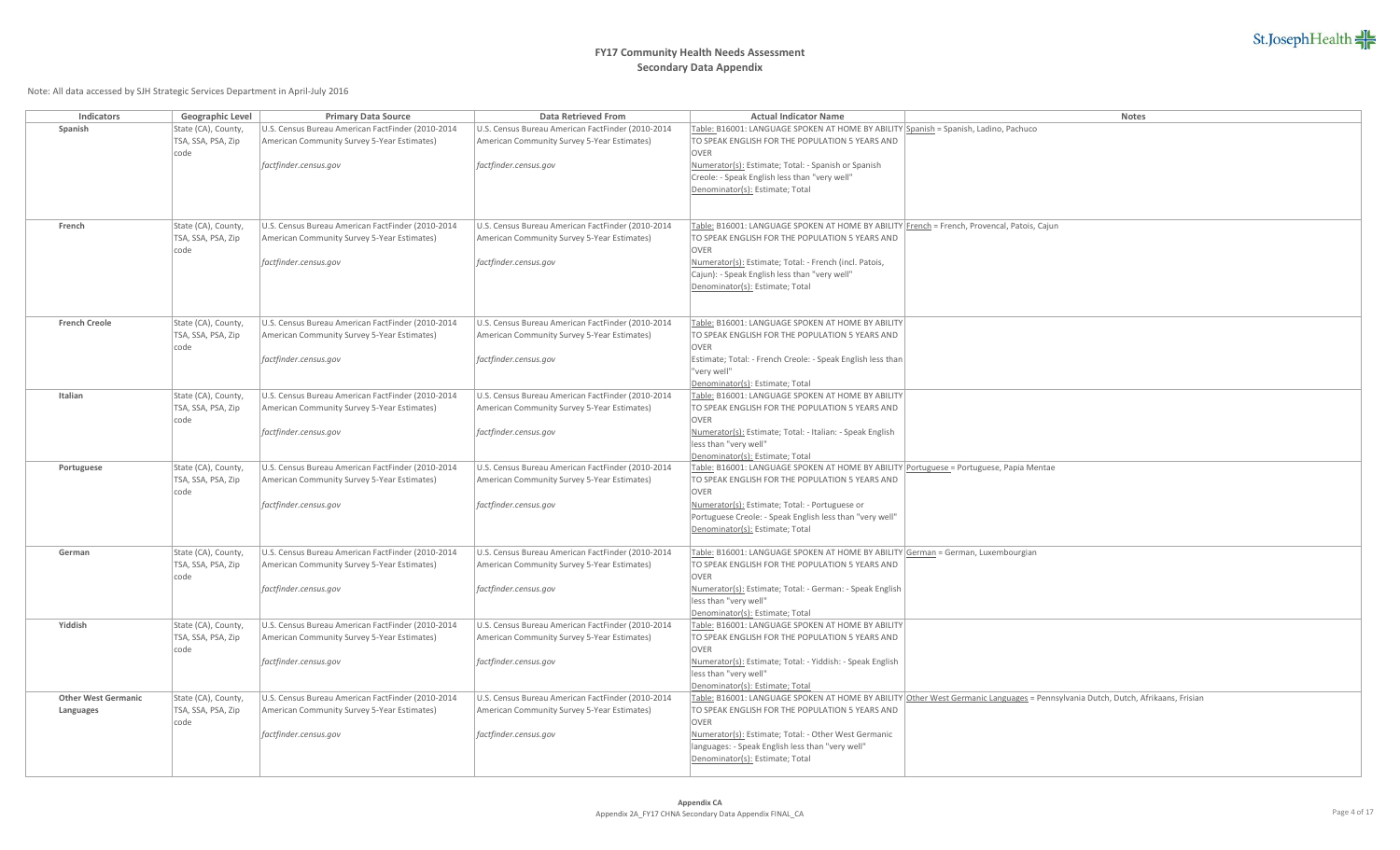

| Indicators                 | Geographic Level                          | <b>Primary Data Source</b>                        | Data Retrieved From                               | <b>Actual Indicator Name</b>                                                                | Notes                                                                                                                           |
|----------------------------|-------------------------------------------|---------------------------------------------------|---------------------------------------------------|---------------------------------------------------------------------------------------------|---------------------------------------------------------------------------------------------------------------------------------|
| Spanish                    | State (CA), County,                       | U.S. Census Bureau American FactFinder (2010-2014 | U.S. Census Bureau American FactFinder (2010-2014 | Table: B16001: LANGUAGE SPOKEN AT HOME BY ABILITY Spanish = Spanish, Ladino, Pachuco        |                                                                                                                                 |
|                            | TSA, SSA, PSA, Zip                        | American Community Survey 5-Year Estimates)       | American Community Survey 5-Year Estimates)       | TO SPEAK ENGLISH FOR THE POPULATION 5 YEARS AND                                             |                                                                                                                                 |
|                            | code                                      |                                                   |                                                   | <b>OVER</b>                                                                                 |                                                                                                                                 |
|                            |                                           | factfinder.census.gov                             | factfinder.census.gov                             | Numerator(s): Estimate; Total: - Spanish or Spanish                                         |                                                                                                                                 |
|                            |                                           |                                                   |                                                   | Creole: - Speak English less than "very well"<br>Denominator(s): Estimate; Total            |                                                                                                                                 |
|                            |                                           |                                                   |                                                   |                                                                                             |                                                                                                                                 |
|                            |                                           |                                                   |                                                   |                                                                                             |                                                                                                                                 |
| French                     | State (CA), County,                       | U.S. Census Bureau American FactFinder (2010-2014 | U.S. Census Bureau American FactFinder (2010-2014 | Table: B16001: LANGUAGE SPOKEN AT HOME BY ABILITY French = French, Provencal, Patois, Cajun |                                                                                                                                 |
|                            | TSA, SSA, PSA, Zip                        | American Community Survey 5-Year Estimates)       | American Community Survey 5-Year Estimates)       | TO SPEAK ENGLISH FOR THE POPULATION 5 YEARS AND                                             |                                                                                                                                 |
|                            | code                                      |                                                   |                                                   | <b>OVER</b>                                                                                 |                                                                                                                                 |
|                            |                                           | factfinder.census.gov                             | factfinder.census.gov                             | Numerator(s): Estimate; Total: - French (incl. Patois,                                      |                                                                                                                                 |
|                            |                                           |                                                   |                                                   | Cajun): - Speak English less than "very well"                                               |                                                                                                                                 |
|                            |                                           |                                                   |                                                   | Denominator(s): Estimate; Total                                                             |                                                                                                                                 |
|                            |                                           |                                                   |                                                   |                                                                                             |                                                                                                                                 |
| <b>French Creole</b>       |                                           | U.S. Census Bureau American FactFinder (2010-2014 | U.S. Census Bureau American FactFinder (2010-2014 | Table: B16001: LANGUAGE SPOKEN AT HOME BY ABILITY                                           |                                                                                                                                 |
|                            | State (CA), County,<br>TSA, SSA, PSA, Zip | American Community Survey 5-Year Estimates)       | American Community Survey 5-Year Estimates)       | TO SPEAK ENGLISH FOR THE POPULATION 5 YEARS AND                                             |                                                                                                                                 |
|                            | code                                      |                                                   |                                                   | OVER                                                                                        |                                                                                                                                 |
|                            |                                           | factfinder.census.gov                             | factfinder.census.gov                             | Estimate; Total: - French Creole: - Speak English less than                                 |                                                                                                                                 |
|                            |                                           |                                                   |                                                   | "very well"                                                                                 |                                                                                                                                 |
|                            |                                           |                                                   |                                                   | Denominator(s): Estimate; Total                                                             |                                                                                                                                 |
| Italian                    | State (CA), County,                       | U.S. Census Bureau American FactFinder (2010-2014 | U.S. Census Bureau American FactFinder (2010-2014 | Table: B16001: LANGUAGE SPOKEN AT HOME BY ABILITY                                           |                                                                                                                                 |
|                            | TSA, SSA, PSA, Zip                        | American Community Survey 5-Year Estimates)       | American Community Survey 5-Year Estimates)       | TO SPEAK ENGLISH FOR THE POPULATION 5 YEARS AND                                             |                                                                                                                                 |
|                            | code                                      |                                                   |                                                   | <b>OVER</b>                                                                                 |                                                                                                                                 |
|                            |                                           | factfinder.census.gov                             | factfinder.census.gov                             | Numerator(s): Estimate; Total: - Italian: - Speak English                                   |                                                                                                                                 |
|                            |                                           |                                                   |                                                   | less than "very well"<br>Denominator(s): Estimate; Total                                    |                                                                                                                                 |
| Portuguese                 | State (CA), County,                       | U.S. Census Bureau American FactFinder (2010-2014 | U.S. Census Bureau American FactFinder (2010-2014 | Table: B16001: LANGUAGE SPOKEN AT HOME BY ABILITY Portuguese = Portuguese, Papia Mentae     |                                                                                                                                 |
|                            | TSA, SSA, PSA, Zip                        | American Community Survey 5-Year Estimates)       | American Community Survey 5-Year Estimates)       | TO SPEAK ENGLISH FOR THE POPULATION 5 YEARS AND                                             |                                                                                                                                 |
|                            | code                                      |                                                   |                                                   | <b>OVER</b>                                                                                 |                                                                                                                                 |
|                            |                                           | factfinder.census.gov                             | factfinder.census.gov                             | Numerator(s): Estimate; Total: - Portuguese or                                              |                                                                                                                                 |
|                            |                                           |                                                   |                                                   | Portuguese Creole: - Speak English less than "very well"                                    |                                                                                                                                 |
|                            |                                           |                                                   |                                                   | Denominator(s): Estimate; Total                                                             |                                                                                                                                 |
| German                     | State (CA), County,                       | U.S. Census Bureau American FactFinder (2010-2014 | U.S. Census Bureau American FactFinder (2010-2014 | Table: B16001: LANGUAGE SPOKEN AT HOME BY ABILITY German = German, Luxembourgian            |                                                                                                                                 |
|                            | TSA, SSA, PSA, Zip                        | American Community Survey 5-Year Estimates)       | American Community Survey 5-Year Estimates)       | TO SPEAK ENGLISH FOR THE POPULATION 5 YEARS AND                                             |                                                                                                                                 |
|                            | code                                      |                                                   |                                                   | <b>OVER</b>                                                                                 |                                                                                                                                 |
|                            |                                           | factfinder.census.gov                             | factfinder.census.gov                             | Numerator(s): Estimate; Total: - German: - Speak English                                    |                                                                                                                                 |
|                            |                                           |                                                   |                                                   | less than "very well"                                                                       |                                                                                                                                 |
|                            |                                           |                                                   |                                                   | Denominator(s): Estimate; Total                                                             |                                                                                                                                 |
| Yiddish                    | State (CA), County,                       | U.S. Census Bureau American FactFinder (2010-2014 | U.S. Census Bureau American FactFinder (2010-2014 | Table: B16001: LANGUAGE SPOKEN AT HOME BY ABILITY                                           |                                                                                                                                 |
|                            | TSA, SSA, PSA, Zip                        | American Community Survey 5-Year Estimates)       | American Community Survey 5-Year Estimates)       | TO SPEAK ENGLISH FOR THE POPULATION 5 YEARS AND                                             |                                                                                                                                 |
|                            | code                                      |                                                   |                                                   | <b>OVER</b>                                                                                 |                                                                                                                                 |
|                            |                                           | factfinder.census.gov                             | factfinder.census.gov                             | Numerator(s): Estimate; Total: - Yiddish: - Speak English<br>less than "very well"          |                                                                                                                                 |
|                            |                                           |                                                   |                                                   | Denominator(s): Estimate; Total                                                             |                                                                                                                                 |
| <b>Other West Germanic</b> | State (CA), County,                       | U.S. Census Bureau American FactFinder (2010-2014 | U.S. Census Bureau American FactFinder (2010-2014 |                                                                                             | Table: B16001: LANGUAGE SPOKEN AT HOME BY ABILITY Other West Germanic Languages = Pennsylvania Dutch, Dutch, Afrikaans, Frisian |
| Languages                  | TSA, SSA, PSA, Zip                        | American Community Survey 5-Year Estimates)       | American Community Survey 5-Year Estimates)       | TO SPEAK ENGLISH FOR THE POPULATION 5 YEARS AND                                             |                                                                                                                                 |
|                            | code                                      |                                                   |                                                   | <b>OVER</b>                                                                                 |                                                                                                                                 |
|                            |                                           | factfinder.census.gov                             | factfinder.census.gov                             | Numerator(s): Estimate; Total: - Other West Germanic                                        |                                                                                                                                 |
|                            |                                           |                                                   |                                                   | languages: - Speak English less than "very well"                                            |                                                                                                                                 |
|                            |                                           |                                                   |                                                   | Denominator(s): Estimate; Total                                                             |                                                                                                                                 |
|                            |                                           |                                                   |                                                   |                                                                                             |                                                                                                                                 |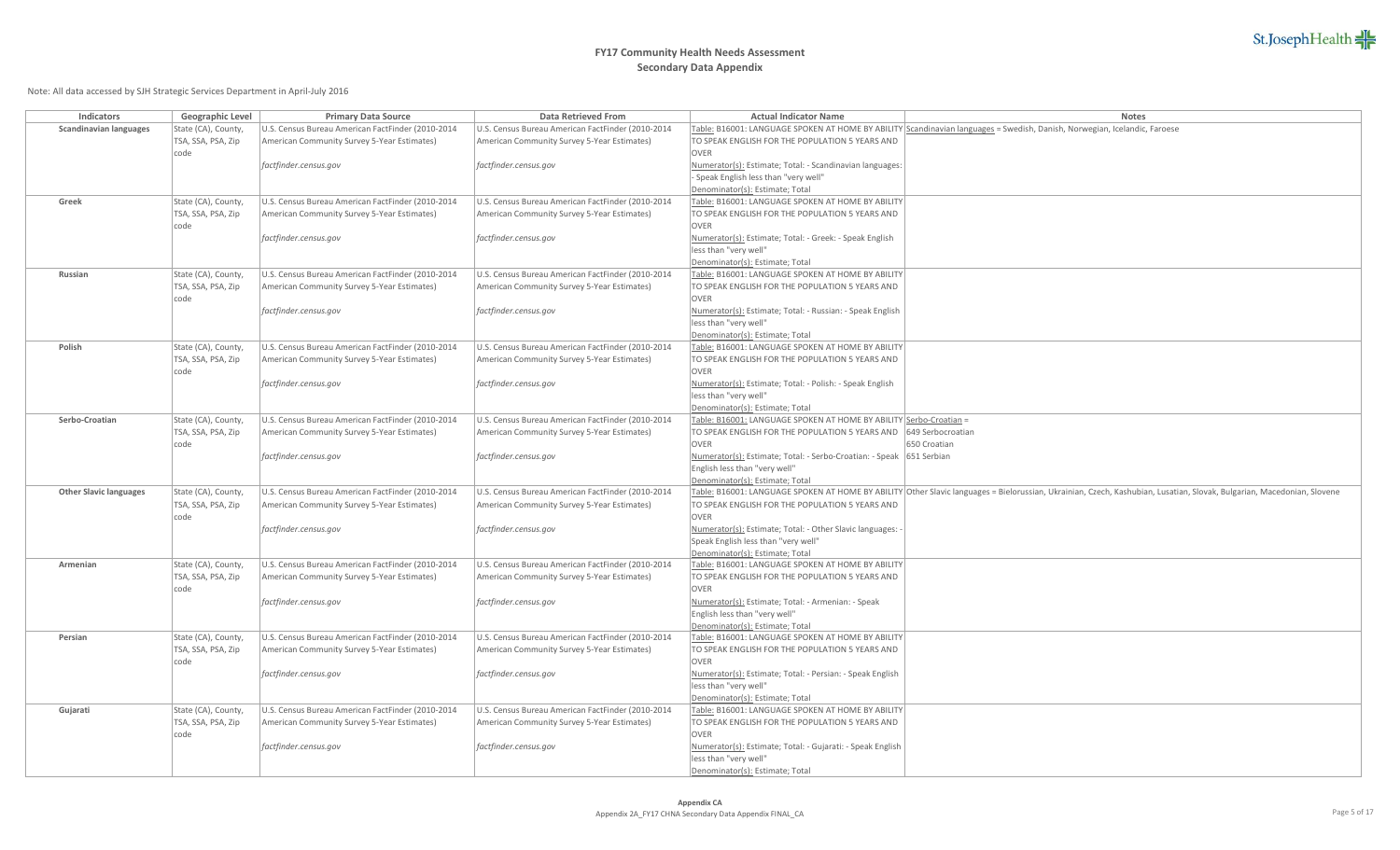

| Indicators                    | Geographic Level                          | <b>Primary Data Source</b>                                                                       | <b>Data Retrieved From</b>                                                                       | <b>Actual Indicator Name</b>                                                                      | Notes                                                                                                                                                                  |
|-------------------------------|-------------------------------------------|--------------------------------------------------------------------------------------------------|--------------------------------------------------------------------------------------------------|---------------------------------------------------------------------------------------------------|------------------------------------------------------------------------------------------------------------------------------------------------------------------------|
| <b>Scandinavian languages</b> | State (CA), County,                       | U.S. Census Bureau American FactFinder (2010-2014                                                | U.S. Census Bureau American FactFinder (2010-2014                                                |                                                                                                   | Table: B16001: LANGUAGE SPOKEN AT HOME BY ABILITY Scandinavian languages = Swedish, Danish, Norwegian, Icelandic, Faroese                                              |
|                               | TSA, SSA, PSA, Zip                        | American Community Survey 5-Year Estimates)                                                      | American Community Survey 5-Year Estimates)                                                      | TO SPEAK ENGLISH FOR THE POPULATION 5 YEARS AND                                                   |                                                                                                                                                                        |
|                               | code                                      |                                                                                                  |                                                                                                  | <b>OVER</b>                                                                                       |                                                                                                                                                                        |
|                               |                                           | factfinder.census.gov                                                                            | factfinder.census.gov                                                                            | Numerator(s): Estimate; Total: - Scandinavian languages:<br>- Speak English less than "very well" |                                                                                                                                                                        |
|                               |                                           |                                                                                                  |                                                                                                  | Denominator(s): Estimate; Total                                                                   |                                                                                                                                                                        |
| Greek                         | State (CA), County,                       | U.S. Census Bureau American FactFinder (2010-2014                                                | U.S. Census Bureau American FactFinder (2010-2014                                                | Table: B16001: LANGUAGE SPOKEN AT HOME BY ABILITY                                                 |                                                                                                                                                                        |
|                               | TSA, SSA, PSA, Zip                        | American Community Survey 5-Year Estimates)                                                      | American Community Survey 5-Year Estimates)                                                      | TO SPEAK ENGLISH FOR THE POPULATION 5 YEARS AND                                                   |                                                                                                                                                                        |
|                               | code                                      |                                                                                                  |                                                                                                  | <b>OVER</b>                                                                                       |                                                                                                                                                                        |
|                               |                                           | factfinder.census.gov                                                                            | factfinder.census.gov                                                                            | Numerator(s): Estimate; Total: - Greek: - Speak English                                           |                                                                                                                                                                        |
|                               |                                           |                                                                                                  |                                                                                                  | less than "very well"                                                                             |                                                                                                                                                                        |
|                               |                                           |                                                                                                  |                                                                                                  | Denominator(s): Estimate; Total                                                                   |                                                                                                                                                                        |
| Russian                       | State (CA), County,                       | U.S. Census Bureau American FactFinder (2010-2014                                                | U.S. Census Bureau American FactFinder (2010-2014                                                | Table: B16001: LANGUAGE SPOKEN AT HOME BY ABILITY                                                 |                                                                                                                                                                        |
|                               | TSA, SSA, PSA, Zip                        | American Community Survey 5-Year Estimates)                                                      | American Community Survey 5-Year Estimates)                                                      | TO SPEAK ENGLISH FOR THE POPULATION 5 YEARS AND                                                   |                                                                                                                                                                        |
|                               | code                                      |                                                                                                  |                                                                                                  | OVER                                                                                              |                                                                                                                                                                        |
|                               |                                           | factfinder.census.gov                                                                            | factfinder.census.gov                                                                            | Numerator(s): Estimate; Total: - Russian: - Speak English                                         |                                                                                                                                                                        |
|                               |                                           |                                                                                                  |                                                                                                  | less than "very well"                                                                             |                                                                                                                                                                        |
|                               |                                           |                                                                                                  |                                                                                                  | Denominator(s): Estimate; Total                                                                   |                                                                                                                                                                        |
| Polish                        | State (CA), County,                       | U.S. Census Bureau American FactFinder (2010-2014                                                | U.S. Census Bureau American FactFinder (2010-2014                                                | Table: B16001: LANGUAGE SPOKEN AT HOME BY ABILITY                                                 |                                                                                                                                                                        |
|                               | TSA, SSA, PSA, Zip                        | American Community Survey 5-Year Estimates)                                                      | American Community Survey 5-Year Estimates)                                                      | TO SPEAK ENGLISH FOR THE POPULATION 5 YEARS AND                                                   |                                                                                                                                                                        |
|                               | code                                      |                                                                                                  |                                                                                                  | <b>OVER</b>                                                                                       |                                                                                                                                                                        |
|                               |                                           | factfinder.census.gov                                                                            | factfinder.census.gov                                                                            | Numerator(s): Estimate; Total: - Polish: - Speak English                                          |                                                                                                                                                                        |
|                               |                                           |                                                                                                  |                                                                                                  | less than "very well"                                                                             |                                                                                                                                                                        |
|                               |                                           |                                                                                                  |                                                                                                  | Denominator(s): Estimate; Total                                                                   |                                                                                                                                                                        |
| Serbo-Croatian                | State (CA), County,                       | U.S. Census Bureau American FactFinder (2010-2014                                                | U.S. Census Bureau American FactFinder (2010-2014                                                | Table: B16001: LANGUAGE SPOKEN AT HOME BY ABILITY Serbo-Croatian =                                |                                                                                                                                                                        |
|                               | TSA, SSA, PSA, Zip                        | American Community Survey 5-Year Estimates)                                                      | American Community Survey 5-Year Estimates)                                                      | TO SPEAK ENGLISH FOR THE POPULATION 5 YEARS AND                                                   | 649 Serbocroatian                                                                                                                                                      |
|                               | code                                      |                                                                                                  |                                                                                                  | <b>OVER</b>                                                                                       | 650 Croatian                                                                                                                                                           |
|                               |                                           | factfinder.census.gov                                                                            | factfinder.census.gov                                                                            | Numerator(s): Estimate; Total: - Serbo-Croatian: - Speak 651 Serbian                              |                                                                                                                                                                        |
|                               |                                           |                                                                                                  |                                                                                                  | English less than "very well"                                                                     |                                                                                                                                                                        |
|                               |                                           |                                                                                                  |                                                                                                  | Denominator(s): Estimate; Total                                                                   |                                                                                                                                                                        |
| <b>Other Slavic languages</b> | State (CA), County,<br>TSA, SSA, PSA, Zip | U.S. Census Bureau American FactFinder (2010-2014<br>American Community Survey 5-Year Estimates) | U.S. Census Bureau American FactFinder (2010-2014<br>American Community Survey 5-Year Estimates) | TO SPEAK ENGLISH FOR THE POPULATION 5 YEARS AND                                                   | Table: B16001: LANGUAGE SPOKEN AT HOME BY ABILITY Other Slavic languages = Bielorussian, Ukrainian, Czech, Kashubian, Lusatian, Slovak, Bulgarian, Macedonian, Slovene |
|                               | code                                      |                                                                                                  |                                                                                                  | OVER                                                                                              |                                                                                                                                                                        |
|                               |                                           | factfinder.census.gov                                                                            | factfinder.census.gov                                                                            | Numerator(s): Estimate; Total: - Other Slavic languages:                                          |                                                                                                                                                                        |
|                               |                                           |                                                                                                  |                                                                                                  | Speak English less than "very well"                                                               |                                                                                                                                                                        |
|                               |                                           |                                                                                                  |                                                                                                  | Denominator(s): Estimate; Total                                                                   |                                                                                                                                                                        |
| Armenian                      | State (CA), County,                       | U.S. Census Bureau American FactFinder (2010-2014                                                | U.S. Census Bureau American FactFinder (2010-2014                                                | Table: B16001: LANGUAGE SPOKEN AT HOME BY ABILITY                                                 |                                                                                                                                                                        |
|                               | TSA, SSA, PSA, Zip                        | American Community Survey 5-Year Estimates)                                                      | American Community Survey 5-Year Estimates)                                                      | TO SPEAK ENGLISH FOR THE POPULATION 5 YEARS AND                                                   |                                                                                                                                                                        |
|                               | code                                      |                                                                                                  |                                                                                                  | OVER                                                                                              |                                                                                                                                                                        |
|                               |                                           | factfinder.census.gov                                                                            | factfinder.census.gov                                                                            | Numerator(s): Estimate; Total: - Armenian: - Speak                                                |                                                                                                                                                                        |
|                               |                                           |                                                                                                  |                                                                                                  | English less than "very well"                                                                     |                                                                                                                                                                        |
|                               |                                           |                                                                                                  |                                                                                                  | Denominator(s): Estimate; Total                                                                   |                                                                                                                                                                        |
| Persian                       | State (CA), County,                       | U.S. Census Bureau American FactFinder (2010-2014                                                | U.S. Census Bureau American FactFinder (2010-2014                                                | Table: B16001: LANGUAGE SPOKEN AT HOME BY ABILITY                                                 |                                                                                                                                                                        |
|                               | TSA, SSA, PSA, Zip                        | American Community Survey 5-Year Estimates)                                                      | American Community Survey 5-Year Estimates)                                                      | TO SPEAK ENGLISH FOR THE POPULATION 5 YEARS AND                                                   |                                                                                                                                                                        |
|                               | code                                      |                                                                                                  |                                                                                                  | <b>OVER</b>                                                                                       |                                                                                                                                                                        |
|                               |                                           | factfinder.census.gov                                                                            | factfinder.census.gov                                                                            | Numerator(s): Estimate; Total: - Persian: - Speak English                                         |                                                                                                                                                                        |
|                               |                                           |                                                                                                  |                                                                                                  | less than "very well"                                                                             |                                                                                                                                                                        |
|                               |                                           |                                                                                                  |                                                                                                  | Denominator(s): Estimate; Total                                                                   |                                                                                                                                                                        |
| Gujarati                      | State (CA), County,                       | U.S. Census Bureau American FactFinder (2010-2014                                                | U.S. Census Bureau American FactFinder (2010-2014                                                | Table: B16001: LANGUAGE SPOKEN AT HOME BY ABILITY                                                 |                                                                                                                                                                        |
|                               | TSA, SSA, PSA, Zip                        | American Community Survey 5-Year Estimates)                                                      | American Community Survey 5-Year Estimates)                                                      | TO SPEAK ENGLISH FOR THE POPULATION 5 YEARS AND                                                   |                                                                                                                                                                        |
|                               | code                                      |                                                                                                  |                                                                                                  | OVER                                                                                              |                                                                                                                                                                        |
|                               |                                           | factfinder.census.gov                                                                            | factfinder.census.gov                                                                            | Numerator(s): Estimate; Total: - Gujarati: - Speak English                                        |                                                                                                                                                                        |
|                               |                                           |                                                                                                  |                                                                                                  | less than "very well"                                                                             |                                                                                                                                                                        |
|                               |                                           |                                                                                                  |                                                                                                  | Denominator(s): Estimate; Total                                                                   |                                                                                                                                                                        |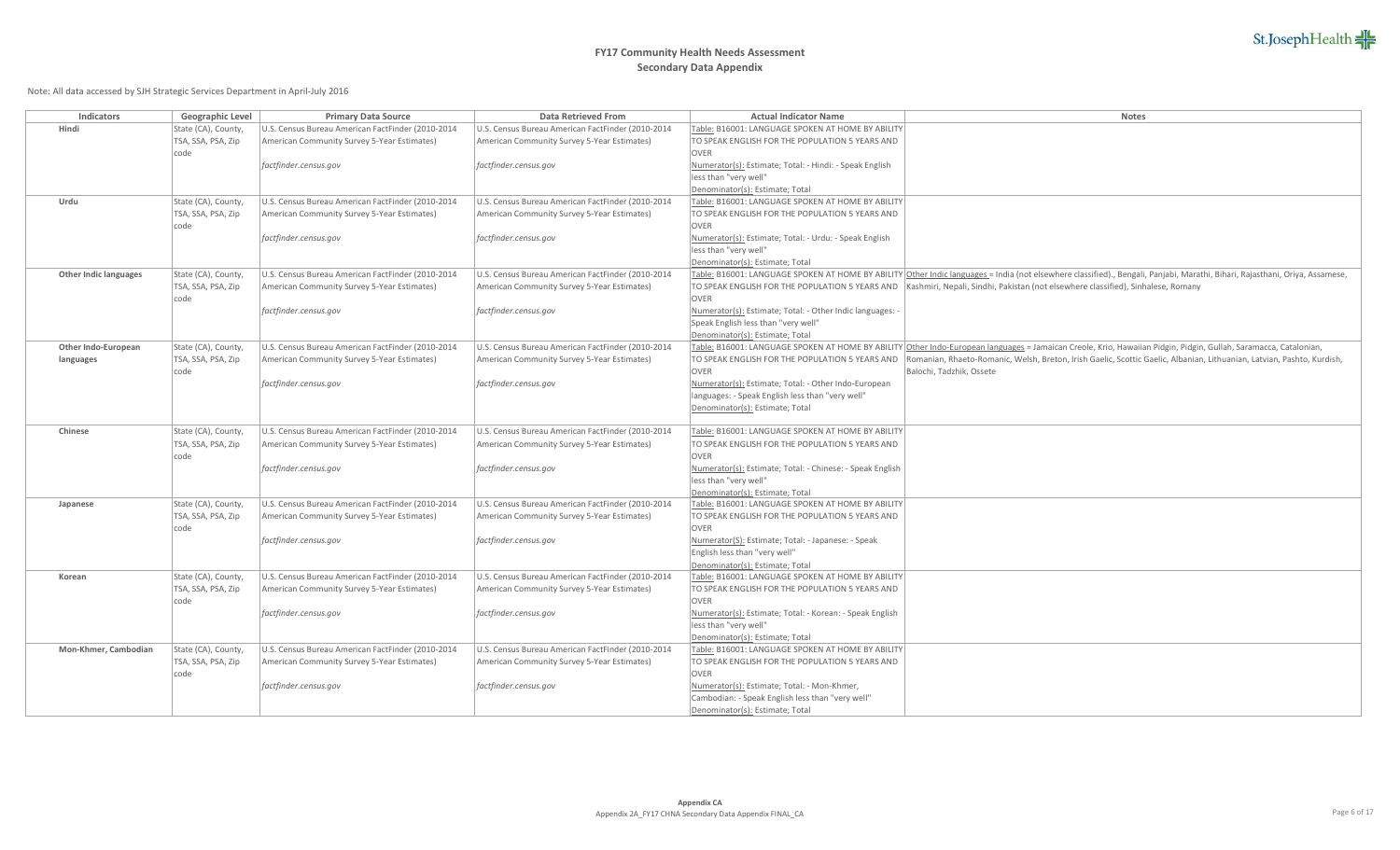## **FY17 Community Health Needs Assessment Secondary Data Appendix**

| Indicators                   | Geographic Level           | <b>Primary Data Source</b>                        | <b>Data Retrieved From</b>                        | <b>Actual Indicator Name</b>                                          | Notes                                                                                                                                                                        |
|------------------------------|----------------------------|---------------------------------------------------|---------------------------------------------------|-----------------------------------------------------------------------|------------------------------------------------------------------------------------------------------------------------------------------------------------------------------|
| Hindi                        | State (CA), County,        | U.S. Census Bureau American FactFinder (2010-2014 | U.S. Census Bureau American FactFinder (2010-2014 | Table: B16001: LANGUAGE SPOKEN AT HOME BY ABILITY                     |                                                                                                                                                                              |
|                              | TSA, SSA, PSA, Zip         | American Community Survey 5-Year Estimates)       | American Community Survey 5-Year Estimates)       | TO SPEAK ENGLISH FOR THE POPULATION 5 YEARS AND                       |                                                                                                                                                                              |
|                              | code                       |                                                   |                                                   | <b>OVER</b>                                                           |                                                                                                                                                                              |
|                              |                            | factfinder.census.gov                             | factfinder.census.gov                             | Numerator(s): Estimate; Total: - Hindi: - Speak English               |                                                                                                                                                                              |
|                              |                            |                                                   |                                                   | less than "very well"                                                 |                                                                                                                                                                              |
|                              |                            |                                                   |                                                   | Denominator(s): Estimate; Total                                       |                                                                                                                                                                              |
| Urdu                         | State (CA), County,        | U.S. Census Bureau American FactFinder (2010-2014 | U.S. Census Bureau American FactFinder (2010-2014 | Table: B16001: LANGUAGE SPOKEN AT HOME BY ABILITY                     |                                                                                                                                                                              |
|                              | TSA, SSA, PSA, Zip         | American Community Survey 5-Year Estimates)       | American Community Survey 5-Year Estimates)       | TO SPEAK ENGLISH FOR THE POPULATION 5 YEARS AND                       |                                                                                                                                                                              |
|                              | code                       |                                                   |                                                   | <b>OVER</b><br>Numerator(s): Estimate; Total: - Urdu: - Speak English |                                                                                                                                                                              |
|                              |                            | factfinder.census.gov                             | factfinder.census.gov                             | less than "very well"                                                 |                                                                                                                                                                              |
|                              |                            |                                                   |                                                   | Denominator(s): Estimate; Total                                       |                                                                                                                                                                              |
| <b>Other Indic languages</b> | State (CA), County,        | U.S. Census Bureau American FactFinder (2010-2014 | U.S. Census Bureau American FactFinder (2010-2014 |                                                                       | Table: B16001: LANGUAGE SPOKEN AT HOME BY ABILITY Other Indic languages = India (not elsewhere classified)., Bengali, Panjabi, Marathi, Bihari, Rajasthani, Oriya, Assamese, |
|                              | TSA, SSA, PSA, Zip         | American Community Survey 5-Year Estimates)       | American Community Survey 5-Year Estimates)       |                                                                       | TO SPEAK ENGLISH FOR THE POPULATION 5 YEARS AND   Kashmiri, Nepali, Sindhi, Pakistan (not elsewhere classified), Sinhalese, Romany                                           |
|                              | code                       |                                                   |                                                   | <b>OVER</b>                                                           |                                                                                                                                                                              |
|                              |                            | factfinder.census.gov                             | factfinder.census.gov                             | Numerator(s): Estimate; Total: - Other Indic languages:               |                                                                                                                                                                              |
|                              |                            |                                                   |                                                   | Speak English less than "very well"                                   |                                                                                                                                                                              |
|                              |                            |                                                   |                                                   | Denominator(s): Estimate; Total                                       |                                                                                                                                                                              |
| Other Indo-European          | State (CA), County,        | U.S. Census Bureau American FactFinder (2010-2014 | U.S. Census Bureau American FactFinder (2010-2014 |                                                                       | Table: B16001: LANGUAGE SPOKEN AT HOME BY ABILITY Other Indo-European languages = Jamaican Creole, Krio, Hawaiian Pidgin, Pidgin, Gullah, Saramacca, Catalonian,             |
| languages                    | TSA, SSA, PSA, Zip         | American Community Survey 5-Year Estimates)       | American Community Survey 5-Year Estimates)       |                                                                       | TO SPEAK ENGLISH FOR THE POPULATION 5 YEARS AND Romanian, Rhaeto-Romanic, Welsh, Breton, Irish Gaelic, Scottic Gaelic, Albanian, Lithuanian, Latvian, Pashto, Kurdish,       |
|                              | code                       |                                                   |                                                   | <b>OVER</b>                                                           | Balochi, Tadzhik, Ossete                                                                                                                                                     |
|                              |                            | factfinder.census.gov                             | factfinder.census.gov                             | Numerator(s): Estimate; Total: - Other Indo-European                  |                                                                                                                                                                              |
|                              |                            |                                                   |                                                   | languages: - Speak English less than "very well"                      |                                                                                                                                                                              |
|                              |                            |                                                   |                                                   | Denominator(s): Estimate; Total                                       |                                                                                                                                                                              |
| Chinese                      | State (CA), County,        | U.S. Census Bureau American FactFinder (2010-2014 | U.S. Census Bureau American FactFinder (2010-2014 | Table: B16001: LANGUAGE SPOKEN AT HOME BY ABILITY                     |                                                                                                                                                                              |
|                              | TSA, SSA, PSA, Zip         | American Community Survey 5-Year Estimates)       | American Community Survey 5-Year Estimates)       | TO SPEAK ENGLISH FOR THE POPULATION 5 YEARS AND                       |                                                                                                                                                                              |
|                              | code                       |                                                   |                                                   | OVER                                                                  |                                                                                                                                                                              |
|                              |                            | factfinder.census.gov                             | factfinder.census.gov                             | Numerator(s): Estimate; Total: - Chinese: - Speak English             |                                                                                                                                                                              |
|                              |                            |                                                   |                                                   | less than "very well"                                                 |                                                                                                                                                                              |
|                              |                            |                                                   |                                                   | Denominator(s): Estimate; Total                                       |                                                                                                                                                                              |
| Japanese                     | State (CA), County,        | U.S. Census Bureau American FactFinder (2010-2014 | U.S. Census Bureau American FactFinder (2010-2014 | Table: B16001: LANGUAGE SPOKEN AT HOME BY ABILITY                     |                                                                                                                                                                              |
|                              | TSA, SSA, PSA, Zip         | American Community Survey 5-Year Estimates)       | American Community Survey 5-Year Estimates)       | TO SPEAK ENGLISH FOR THE POPULATION 5 YEARS AND                       |                                                                                                                                                                              |
|                              | code                       |                                                   |                                                   | OVER                                                                  |                                                                                                                                                                              |
|                              |                            | factfinder.census.gov                             | factfinder.census.gov                             | Numerator(S): Estimate; Total: - Japanese: - Speak                    |                                                                                                                                                                              |
|                              |                            |                                                   |                                                   | English less than "very well"                                         |                                                                                                                                                                              |
|                              |                            |                                                   |                                                   | Denominator(s): Estimate; Total                                       |                                                                                                                                                                              |
| Korean                       | State (CA), County,        | U.S. Census Bureau American FactFinder (2010-2014 | U.S. Census Bureau American FactFinder (2010-2014 | Table: B16001: LANGUAGE SPOKEN AT HOME BY ABILITY                     |                                                                                                                                                                              |
|                              | TSA, SSA, PSA, Zip<br>code | American Community Survey 5-Year Estimates)       | American Community Survey 5-Year Estimates)       | TO SPEAK ENGLISH FOR THE POPULATION 5 YEARS AND<br><b>OVER</b>        |                                                                                                                                                                              |
|                              |                            | factfinder.census.gov                             | factfinder.census.gov                             | Numerator(s): Estimate; Total: - Korean: - Speak English              |                                                                                                                                                                              |
|                              |                            |                                                   |                                                   | less than "very well"                                                 |                                                                                                                                                                              |
|                              |                            |                                                   |                                                   | Denominator(s): Estimate; Total                                       |                                                                                                                                                                              |
| Mon-Khmer, Cambodian         | State (CA), County,        | U.S. Census Bureau American FactFinder (2010-2014 | U.S. Census Bureau American FactFinder (2010-2014 | Table: B16001: LANGUAGE SPOKEN AT HOME BY ABILITY                     |                                                                                                                                                                              |
|                              | TSA, SSA, PSA, Zip         | American Community Survey 5-Year Estimates)       | American Community Survey 5-Year Estimates)       | TO SPEAK ENGLISH FOR THE POPULATION 5 YEARS AND                       |                                                                                                                                                                              |
|                              | code                       |                                                   |                                                   | <b>OVER</b>                                                           |                                                                                                                                                                              |
|                              |                            | factfinder.census.gov                             | factfinder.census.gov                             | Numerator(s): Estimate; Total: - Mon-Khmer,                           |                                                                                                                                                                              |
|                              |                            |                                                   |                                                   | Cambodian: - Speak English less than "very well"                      |                                                                                                                                                                              |
|                              |                            |                                                   |                                                   | Denominator(s): Estimate; Total                                       |                                                                                                                                                                              |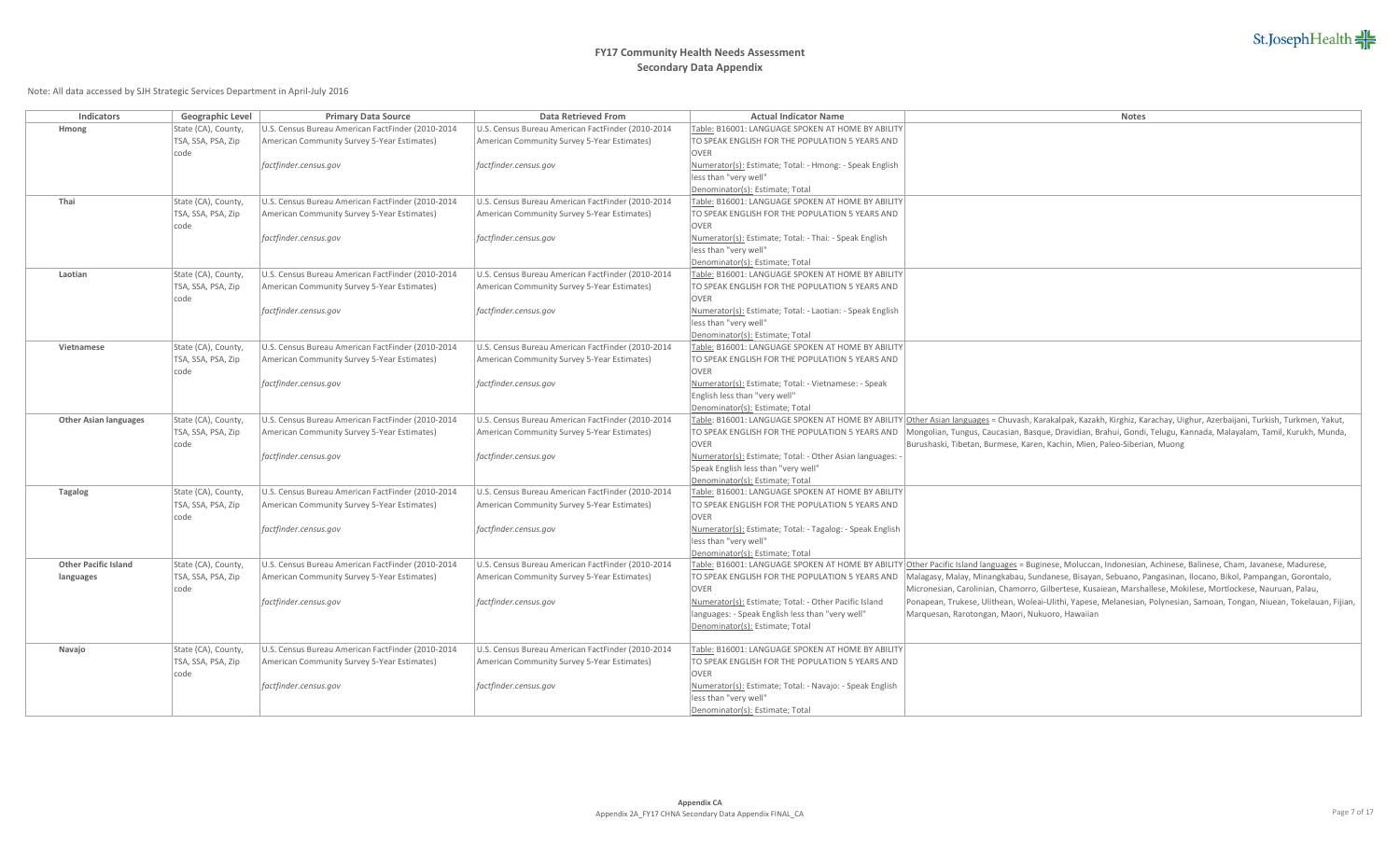## **FY17 Community Health Needs Assessment Secondary Data Appendix**

| Indicators                   | Geographic Level                          | <b>Primary Data Source</b>                                                                       | Data Retrieved From                                                                              | <b>Actual Indicator Name</b>                              | Notes                                                                                                                                                                                                                                                                            |
|------------------------------|-------------------------------------------|--------------------------------------------------------------------------------------------------|--------------------------------------------------------------------------------------------------|-----------------------------------------------------------|----------------------------------------------------------------------------------------------------------------------------------------------------------------------------------------------------------------------------------------------------------------------------------|
| Hmong                        | State (CA), County,                       | U.S. Census Bureau American FactFinder (2010-2014                                                | U.S. Census Bureau American FactFinder (2010-2014                                                | Table: B16001: LANGUAGE SPOKEN AT HOME BY ABILITY         |                                                                                                                                                                                                                                                                                  |
|                              | TSA, SSA, PSA, Zip                        | American Community Survey 5-Year Estimates)                                                      | American Community Survey 5-Year Estimates)                                                      | TO SPEAK ENGLISH FOR THE POPULATION 5 YEARS AND           |                                                                                                                                                                                                                                                                                  |
|                              | code                                      |                                                                                                  |                                                                                                  | <b>OVER</b>                                               |                                                                                                                                                                                                                                                                                  |
|                              |                                           | factfinder.census.gov                                                                            | factfinder.census.gov                                                                            | Numerator(s): Estimate; Total: - Hmong: - Speak English   |                                                                                                                                                                                                                                                                                  |
|                              |                                           |                                                                                                  |                                                                                                  | less than "very well"                                     |                                                                                                                                                                                                                                                                                  |
|                              |                                           |                                                                                                  |                                                                                                  | Denominator(s): Estimate; Total                           |                                                                                                                                                                                                                                                                                  |
| Thai                         | State (CA), County,                       | U.S. Census Bureau American FactFinder (2010-2014                                                | U.S. Census Bureau American FactFinder (2010-2014                                                | Table: B16001: LANGUAGE SPOKEN AT HOME BY ABILITY         |                                                                                                                                                                                                                                                                                  |
|                              | TSA, SSA, PSA, Zip<br>code                | American Community Survey 5-Year Estimates)                                                      | American Community Survey 5-Year Estimates)                                                      | TO SPEAK ENGLISH FOR THE POPULATION 5 YEARS AND<br>OVER   |                                                                                                                                                                                                                                                                                  |
|                              |                                           | factfinder.census.gov                                                                            | factfinder.census.gov                                                                            | Numerator(s): Estimate; Total: - Thai: - Speak English    |                                                                                                                                                                                                                                                                                  |
|                              |                                           |                                                                                                  |                                                                                                  | less than "very well"                                     |                                                                                                                                                                                                                                                                                  |
|                              |                                           |                                                                                                  |                                                                                                  | Denominator(s): Estimate; Total                           |                                                                                                                                                                                                                                                                                  |
| Laotian                      | State (CA), County,                       | U.S. Census Bureau American FactFinder (2010-2014                                                | U.S. Census Bureau American FactFinder (2010-2014                                                | Table: B16001: LANGUAGE SPOKEN AT HOME BY ABILITY         |                                                                                                                                                                                                                                                                                  |
|                              | TSA, SSA, PSA, Zip                        | American Community Survey 5-Year Estimates)                                                      | American Community Survey 5-Year Estimates)                                                      | TO SPEAK ENGLISH FOR THE POPULATION 5 YEARS AND           |                                                                                                                                                                                                                                                                                  |
|                              | code                                      |                                                                                                  |                                                                                                  | <b>OVER</b>                                               |                                                                                                                                                                                                                                                                                  |
|                              |                                           | factfinder.census.gov                                                                            | factfinder.census.gov                                                                            | Numerator(s): Estimate; Total: - Laotian: - Speak English |                                                                                                                                                                                                                                                                                  |
|                              |                                           |                                                                                                  |                                                                                                  | less than "very well"                                     |                                                                                                                                                                                                                                                                                  |
|                              |                                           |                                                                                                  |                                                                                                  | Denominator(s): Estimate; Total                           |                                                                                                                                                                                                                                                                                  |
| Vietnamese                   | State (CA), County,                       | U.S. Census Bureau American FactFinder (2010-2014                                                | U.S. Census Bureau American FactFinder (2010-2014                                                | Table: B16001: LANGUAGE SPOKEN AT HOME BY ABILITY         |                                                                                                                                                                                                                                                                                  |
|                              | TSA, SSA, PSA, Zip                        | American Community Survey 5-Year Estimates)                                                      | American Community Survey 5-Year Estimates)                                                      | TO SPEAK ENGLISH FOR THE POPULATION 5 YEARS AND           |                                                                                                                                                                                                                                                                                  |
|                              | code                                      |                                                                                                  |                                                                                                  | OVER                                                      |                                                                                                                                                                                                                                                                                  |
|                              |                                           | factfinder.census.gov                                                                            | factfinder.census.gov                                                                            | Numerator(s): Estimate; Total: - Vietnamese: - Speak      |                                                                                                                                                                                                                                                                                  |
|                              |                                           |                                                                                                  |                                                                                                  | English less than "very well"                             |                                                                                                                                                                                                                                                                                  |
| <b>Other Asian languages</b> | State (CA), County,                       | U.S. Census Bureau American FactFinder (2010-2014                                                | U.S. Census Bureau American FactFinder (2010-2014                                                | Denominator(s): Estimate; Total                           | Table: B16001: LANGUAGE SPOKEN AT HOME BY ABILITY Other Asian languages = Chuvash, Karakalpak, Kazakh, Kirghiz, Karachay, Uighur, Azerbaijani, Turkish, Turkmen, Yakut,                                                                                                          |
|                              | TSA, SSA, PSA, Zip                        | American Community Survey 5-Year Estimates)                                                      | American Community Survey 5-Year Estimates)                                                      |                                                           | TO SPEAK ENGLISH FOR THE POPULATION 5 YEARS AND  Mongolian, Tungus, Caucasian, Basque, Dravidian, Brahui, Gondi, Telugu, Kannada, Malayalam, Tamil, Kurukh, Munda,                                                                                                               |
|                              | code                                      |                                                                                                  |                                                                                                  | <b>OVER</b>                                               | Burushaski, Tibetan, Burmese, Karen, Kachin, Mien, Paleo-Siberian, Muong                                                                                                                                                                                                         |
|                              |                                           | factfinder.census.gov                                                                            | factfinder.census.gov                                                                            | Numerator(s): Estimate; Total: - Other Asian languages:   |                                                                                                                                                                                                                                                                                  |
|                              |                                           |                                                                                                  |                                                                                                  | Speak English less than "very well"                       |                                                                                                                                                                                                                                                                                  |
|                              |                                           |                                                                                                  |                                                                                                  | Denominator(s): Estimate; Total                           |                                                                                                                                                                                                                                                                                  |
| <b>Tagalog</b>               | State (CA), County,                       | U.S. Census Bureau American FactFinder (2010-2014                                                | U.S. Census Bureau American FactFinder (2010-2014                                                | Table: B16001: LANGUAGE SPOKEN AT HOME BY ABILITY         |                                                                                                                                                                                                                                                                                  |
|                              | TSA, SSA, PSA, Zip                        | American Community Survey 5-Year Estimates)                                                      | American Community Survey 5-Year Estimates)                                                      | TO SPEAK ENGLISH FOR THE POPULATION 5 YEARS AND           |                                                                                                                                                                                                                                                                                  |
|                              | code                                      |                                                                                                  |                                                                                                  | OVER                                                      |                                                                                                                                                                                                                                                                                  |
|                              |                                           | factfinder.census.gov                                                                            | factfinder.census.gov                                                                            | Numerator(s): Estimate; Total: - Tagalog: - Speak English |                                                                                                                                                                                                                                                                                  |
|                              |                                           |                                                                                                  |                                                                                                  | less than "very well"                                     |                                                                                                                                                                                                                                                                                  |
| <b>Other Pacific Island</b>  |                                           |                                                                                                  |                                                                                                  | Denominator(s): Estimate; Total                           |                                                                                                                                                                                                                                                                                  |
| languages                    | State (CA), County,<br>TSA, SSA, PSA, Zip | U.S. Census Bureau American FactFinder (2010-2014<br>American Community Survey 5-Year Estimates) | U.S. Census Bureau American FactFinder (2010-2014<br>American Community Survey 5-Year Estimates) | TO SPEAK ENGLISH FOR THE POPULATION 5 YEARS AND           | Table: B16001: LANGUAGE SPOKEN AT HOME BY ABILITY Other Pacific Island languages = Buginese, Moluccan, Indonesian, Achinese, Balinese, Cham, Javanese, Madurese,<br>Malagasy, Malay, Minangkabau, Sundanese, Bisayan, Sebuano, Pangasinan, Ilocano, Bikol, Pampangan, Gorontalo, |
|                              | code                                      |                                                                                                  |                                                                                                  | <b>OVER</b>                                               | Micronesian, Carolinian, Chamorro, Gilbertese, Kusaiean, Marshallese, Mokilese, Mortlockese, Nauruan, Palau,                                                                                                                                                                     |
|                              |                                           | factfinder.census.gov                                                                            | factfinder.census.gov                                                                            | Numerator(s): Estimate; Total: - Other Pacific Island     | Ponapean, Trukese, Ulithean, Woleai-Ulithi, Yapese, Melanesian, Polynesian, Samoan, Tongan, Niuean, Tokelauan, Fijian,                                                                                                                                                           |
|                              |                                           |                                                                                                  |                                                                                                  | languages: - Speak English less than "very well"          | Marquesan, Rarotongan, Maori, Nukuoro, Hawaiian                                                                                                                                                                                                                                  |
|                              |                                           |                                                                                                  |                                                                                                  | Denominator(s): Estimate; Total                           |                                                                                                                                                                                                                                                                                  |
|                              |                                           |                                                                                                  |                                                                                                  |                                                           |                                                                                                                                                                                                                                                                                  |
| Navajo                       | State (CA), County,                       | U.S. Census Bureau American FactFinder (2010-2014                                                | U.S. Census Bureau American FactFinder (2010-2014                                                | Table: B16001: LANGUAGE SPOKEN AT HOME BY ABILITY         |                                                                                                                                                                                                                                                                                  |
|                              | TSA, SSA, PSA, Zip                        | American Community Survey 5-Year Estimates)                                                      | American Community Survey 5-Year Estimates)                                                      | TO SPEAK ENGLISH FOR THE POPULATION 5 YEARS AND           |                                                                                                                                                                                                                                                                                  |
|                              | code                                      |                                                                                                  |                                                                                                  | <b>OVER</b>                                               |                                                                                                                                                                                                                                                                                  |
|                              |                                           | factfinder.census.gov                                                                            | factfinder.census.gov                                                                            | Numerator(s): Estimate; Total: - Navajo: - Speak English  |                                                                                                                                                                                                                                                                                  |
|                              |                                           |                                                                                                  |                                                                                                  | less than "very well"                                     |                                                                                                                                                                                                                                                                                  |
|                              |                                           |                                                                                                  |                                                                                                  | Denominator(s): Estimate; Total                           |                                                                                                                                                                                                                                                                                  |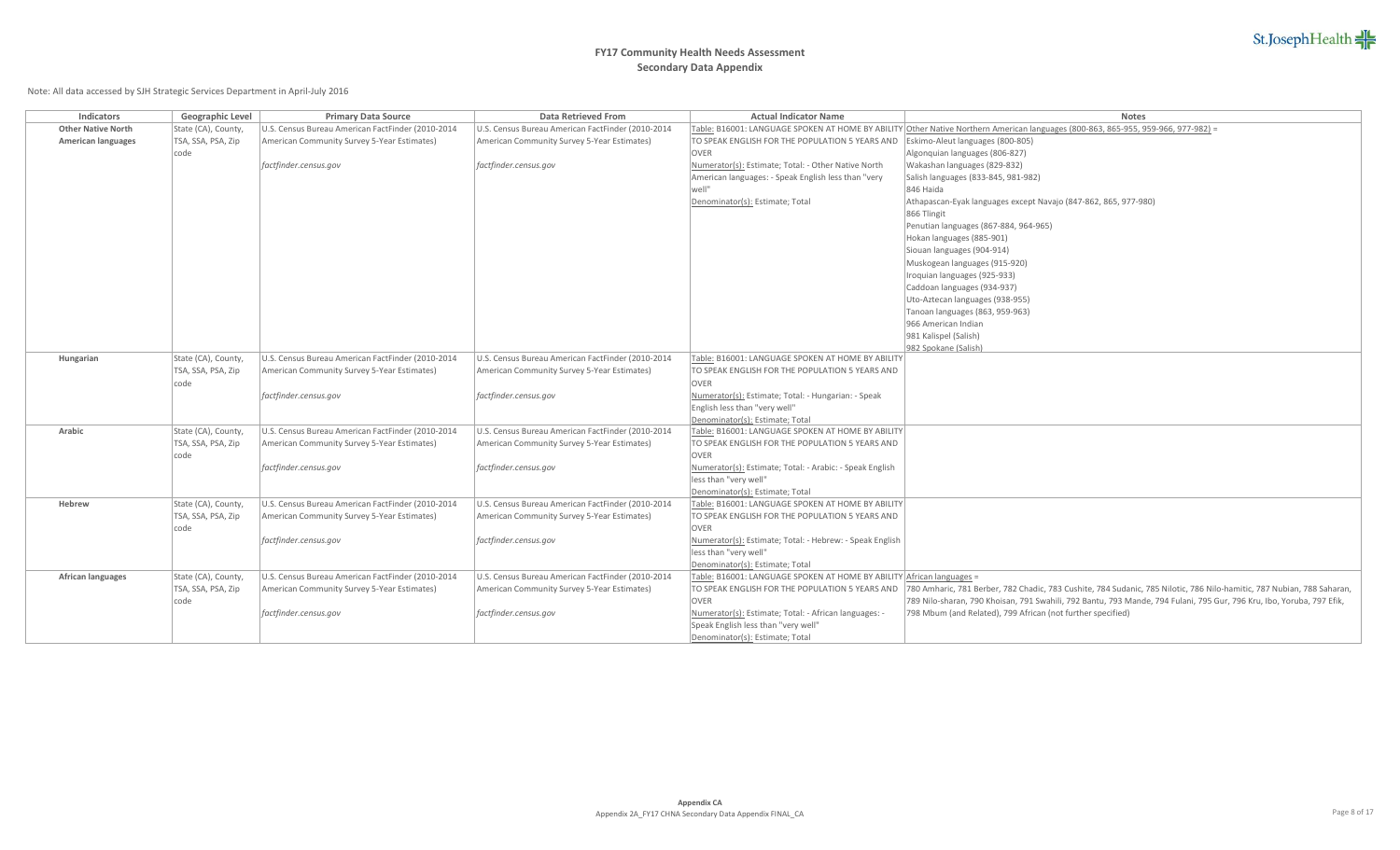

| <b>Indicators</b>         | Geographic Level    | <b>Primary Data Source</b>                        | <b>Data Retrieved From</b>                        | <b>Actual Indicator Name</b>                                          | <b>Notes</b>                                                                                                                      |
|---------------------------|---------------------|---------------------------------------------------|---------------------------------------------------|-----------------------------------------------------------------------|-----------------------------------------------------------------------------------------------------------------------------------|
| <b>Other Native North</b> | State (CA), County  | U.S. Census Bureau American FactFinder (2010-2014 | U.S. Census Bureau American FactFinder (2010-2014 |                                                                       | Table: B16001: LANGUAGE SPOKEN AT HOME BY ABILITY Other Native Northern American languages (800-863, 865-955, 959-966, 977-982) = |
| <b>American languages</b> | TSA, SSA, PSA, Zip  | American Community Survey 5-Year Estimates)       | American Community Survey 5-Year Estimates)       | TO SPEAK ENGLISH FOR THE POPULATION 5 YEARS AND                       | Eskimo-Aleut languages (800-805)                                                                                                  |
|                           | code                |                                                   |                                                   | <b>OVER</b>                                                           | Algonquian languages (806-827)                                                                                                    |
|                           |                     | factfinder.census.gov                             | factfinder.census.gov                             | Numerator(s): Estimate; Total: - Other Native North                   | Wakashan languages (829-832)                                                                                                      |
|                           |                     |                                                   |                                                   | American languages: - Speak English less than "very                   | Salish languages (833-845, 981-982)                                                                                               |
|                           |                     |                                                   |                                                   | well"                                                                 | 846 Haida                                                                                                                         |
|                           |                     |                                                   |                                                   | Denominator(s): Estimate; Total                                       | Athapascan-Eyak languages except Navajo (847-862, 865, 977-980)                                                                   |
|                           |                     |                                                   |                                                   |                                                                       | 866 Tlingit                                                                                                                       |
|                           |                     |                                                   |                                                   |                                                                       | Penutian languages (867-884, 964-965)                                                                                             |
|                           |                     |                                                   |                                                   |                                                                       | Hokan languages (885-901)                                                                                                         |
|                           |                     |                                                   |                                                   |                                                                       | Siouan languages (904-914)                                                                                                        |
|                           |                     |                                                   |                                                   |                                                                       | Muskogean languages (915-920)                                                                                                     |
|                           |                     |                                                   |                                                   |                                                                       | Iroquian languages (925-933)                                                                                                      |
|                           |                     |                                                   |                                                   |                                                                       | Caddoan languages (934-937)                                                                                                       |
|                           |                     |                                                   |                                                   |                                                                       | Uto-Aztecan languages (938-955)                                                                                                   |
|                           |                     |                                                   |                                                   |                                                                       | Tanoan languages (863, 959-963)                                                                                                   |
|                           |                     |                                                   |                                                   |                                                                       | 966 American Indian                                                                                                               |
|                           |                     |                                                   |                                                   |                                                                       | 981 Kalispel (Salish)                                                                                                             |
|                           |                     |                                                   |                                                   |                                                                       | 982 Spokane (Salish)                                                                                                              |
| Hungarian                 | State (CA), County, | U.S. Census Bureau American FactFinder (2010-2014 | U.S. Census Bureau American FactFinder (2010-2014 | Table: B16001: LANGUAGE SPOKEN AT HOME BY ABILITY                     |                                                                                                                                   |
|                           | TSA, SSA, PSA, Zip  | American Community Survey 5-Year Estimates)       | American Community Survey 5-Year Estimates)       | TO SPEAK ENGLISH FOR THE POPULATION 5 YEARS AND                       |                                                                                                                                   |
|                           | code                |                                                   |                                                   | <b>OVER</b>                                                           |                                                                                                                                   |
|                           |                     | factfinder.census.gov                             | factfinder.census.gov                             | Numerator(s): Estimate; Total: - Hungarian: - Speak                   |                                                                                                                                   |
|                           |                     |                                                   |                                                   | English less than "very well"                                         |                                                                                                                                   |
|                           |                     |                                                   |                                                   | Denominator(s): Estimate; Total                                       |                                                                                                                                   |
| Arabic                    | State (CA), County, | U.S. Census Bureau American FactFinder (2010-2014 | U.S. Census Bureau American FactFinder (2010-2014 | Table: B16001: LANGUAGE SPOKEN AT HOME BY ABILITY                     |                                                                                                                                   |
|                           | TSA, SSA, PSA, Zip  | American Community Survey 5-Year Estimates)       | American Community Survey 5-Year Estimates)       | TO SPEAK ENGLISH FOR THE POPULATION 5 YEARS AND                       |                                                                                                                                   |
|                           | code                |                                                   |                                                   | <b>OVER</b>                                                           |                                                                                                                                   |
|                           |                     | factfinder.census.gov                             | factfinder.census.gov                             | Numerator(s): Estimate; Total: - Arabic: - Speak English              |                                                                                                                                   |
|                           |                     |                                                   |                                                   | less than "very well"                                                 |                                                                                                                                   |
|                           |                     |                                                   |                                                   | Denominator(s): Estimate; Total                                       |                                                                                                                                   |
| Hebrew                    | State (CA), County  | U.S. Census Bureau American FactFinder (2010-2014 | U.S. Census Bureau American FactFinder (2010-2014 | Table: B16001: LANGUAGE SPOKEN AT HOME BY ABILITY                     |                                                                                                                                   |
|                           | TSA, SSA, PSA, Zip  | American Community Survey 5-Year Estimates)       | American Community Survey 5-Year Estimates)       | TO SPEAK ENGLISH FOR THE POPULATION 5 YEARS AND                       |                                                                                                                                   |
|                           | code                |                                                   |                                                   | <b>OVER</b>                                                           |                                                                                                                                   |
|                           |                     | factfinder.census.gov                             | factfinder.census.gov                             | Numerator(s): Estimate; Total: - Hebrew: - Speak English              |                                                                                                                                   |
|                           |                     |                                                   |                                                   | less than "very well"                                                 |                                                                                                                                   |
|                           |                     |                                                   |                                                   | Denominator(s): Estimate; Total                                       |                                                                                                                                   |
| <b>African languages</b>  | State (CA), County, | U.S. Census Bureau American FactFinder (2010-2014 | U.S. Census Bureau American FactFinder (2010-2014 | Table: B16001: LANGUAGE SPOKEN AT HOME BY ABILITY African languages = |                                                                                                                                   |
|                           | TSA, SSA, PSA, Zip  | American Community Survey 5-Year Estimates)       | American Community Survey 5-Year Estimates)       | TO SPEAK ENGLISH FOR THE POPULATION 5 YEARS AND                       | 780 Amharic, 781 Berber, 782 Chadic, 783 Cushite, 784 Sudanic, 785 Nilotic, 786 Nilo-hamitic, 787 Nubian, 788 Saharan,            |
|                           | code                |                                                   |                                                   | <b>OVER</b>                                                           | 789 Nilo-sharan, 790 Khoisan, 791 Swahili, 792 Bantu, 793 Mande, 794 Fulani, 795 Gur, 796 Kru, Ibo, Yoruba, 797 Efik,             |
|                           |                     | factfinder.census.gov                             | factfinder.census.gov                             | Numerator(s): Estimate; Total: - African languages: -                 | 798 Mbum (and Related), 799 African (not further specified)                                                                       |
|                           |                     |                                                   |                                                   | Speak English less than "very well"                                   |                                                                                                                                   |
|                           |                     |                                                   |                                                   | Denominator(s): Estimate; Total                                       |                                                                                                                                   |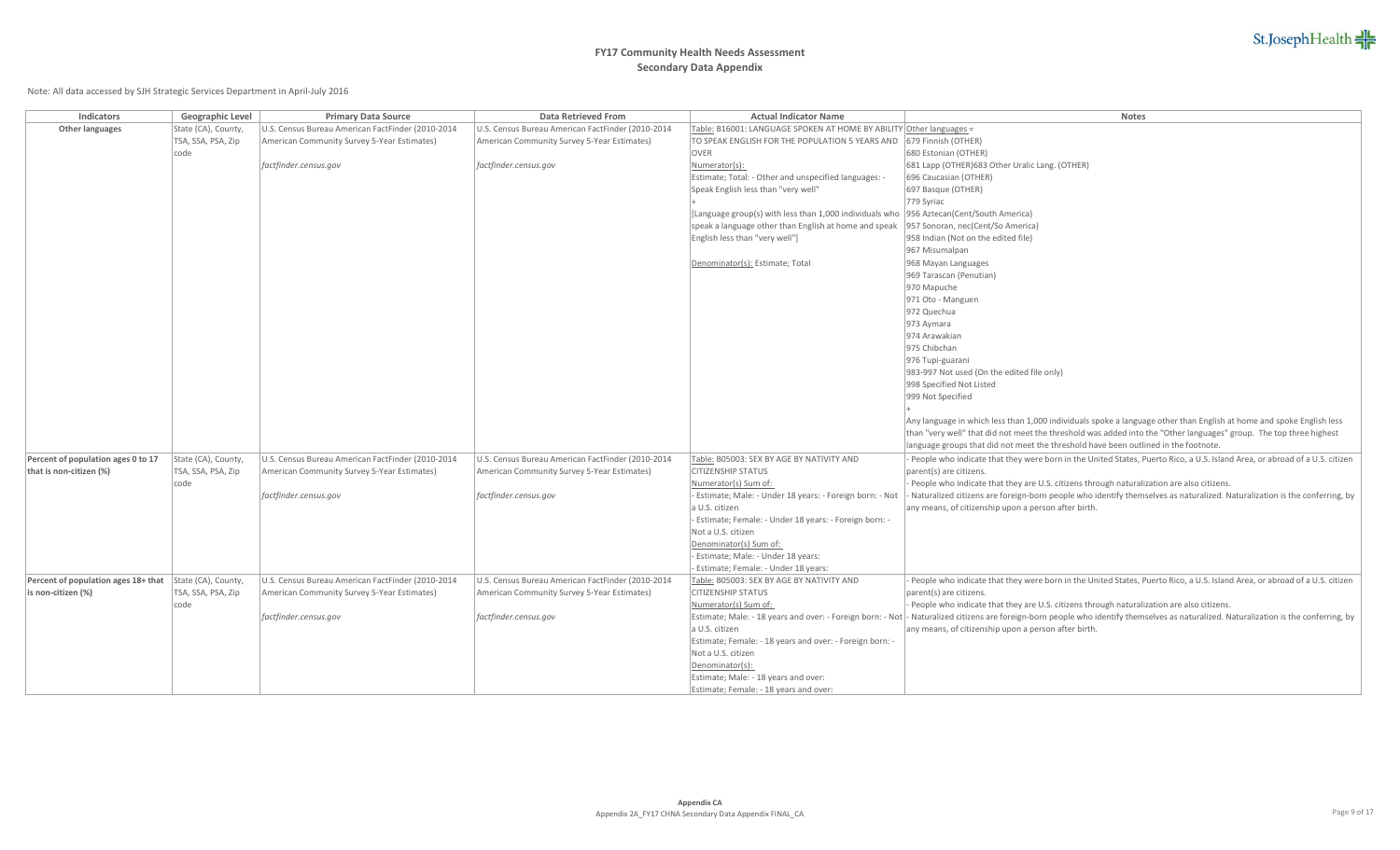# **FY17 Community Health Needs Assessment Secondary Data Appendix**

| Indicators                          | Geographic Level                          | <b>Primary Data Source</b>                                                                       | Data Retrieved From                                                                              | <b>Actual Indicator Name</b>                                                             | Notes                                                                                                                                                                                    |
|-------------------------------------|-------------------------------------------|--------------------------------------------------------------------------------------------------|--------------------------------------------------------------------------------------------------|------------------------------------------------------------------------------------------|------------------------------------------------------------------------------------------------------------------------------------------------------------------------------------------|
| Other languages                     | State (CA), County,                       | U.S. Census Bureau American FactFinder (2010-2014                                                | U.S. Census Bureau American FactFinder (2010-2014                                                | Table: B16001: LANGUAGE SPOKEN AT HOME BY ABILITY Other languages =                      |                                                                                                                                                                                          |
|                                     | TSA, SSA, PSA, Zip                        | American Community Survey 5-Year Estimates)                                                      | American Community Survey 5-Year Estimates)                                                      | TO SPEAK ENGLISH FOR THE POPULATION 5 YEARS AND                                          | 679 Finnish (OTHER)                                                                                                                                                                      |
|                                     | code                                      |                                                                                                  |                                                                                                  | OVER                                                                                     | 680 Estonian (OTHER)                                                                                                                                                                     |
|                                     |                                           | factfinder.census.gov                                                                            | factfinder.census.gov                                                                            | Numerator(s):                                                                            | 681 Lapp (OTHER) 683 Other Uralic Lang. (OTHER)                                                                                                                                          |
|                                     |                                           |                                                                                                  |                                                                                                  | Estimate; Total: - Other and unspecified languages: -                                    | 696 Caucasian (OTHER)                                                                                                                                                                    |
|                                     |                                           |                                                                                                  |                                                                                                  | Speak English less than "very well"                                                      | 697 Basque (OTHER)                                                                                                                                                                       |
|                                     |                                           |                                                                                                  |                                                                                                  |                                                                                          | 779 Syriac                                                                                                                                                                               |
|                                     |                                           |                                                                                                  |                                                                                                  | [Language group(s) with less than 1,000 individuals who  956 Aztecan(Cent/South America) |                                                                                                                                                                                          |
|                                     |                                           |                                                                                                  |                                                                                                  | speak a language other than English at home and speak                                    | 957 Sonoran, nec(Cent/So America)                                                                                                                                                        |
|                                     |                                           |                                                                                                  |                                                                                                  | English less than "very well"]                                                           | 958 Indian (Not on the edited file)                                                                                                                                                      |
|                                     |                                           |                                                                                                  |                                                                                                  |                                                                                          | 967 Misumalpan                                                                                                                                                                           |
|                                     |                                           |                                                                                                  |                                                                                                  | Denominator(s): Estimate; Total                                                          | 968 Mayan Languages                                                                                                                                                                      |
|                                     |                                           |                                                                                                  |                                                                                                  |                                                                                          | 969 Tarascan (Penutian)                                                                                                                                                                  |
|                                     |                                           |                                                                                                  |                                                                                                  |                                                                                          | 970 Mapuche                                                                                                                                                                              |
|                                     |                                           |                                                                                                  |                                                                                                  |                                                                                          | 971 Oto - Manguen                                                                                                                                                                        |
|                                     |                                           |                                                                                                  |                                                                                                  |                                                                                          | 972 Quechua                                                                                                                                                                              |
|                                     |                                           |                                                                                                  |                                                                                                  |                                                                                          | 973 Aymara                                                                                                                                                                               |
|                                     |                                           |                                                                                                  |                                                                                                  |                                                                                          | 974 Arawakian<br>975 Chibchan                                                                                                                                                            |
|                                     |                                           |                                                                                                  |                                                                                                  |                                                                                          | 976 Tupi-guarani                                                                                                                                                                         |
|                                     |                                           |                                                                                                  |                                                                                                  |                                                                                          | 983-997 Not used (On the edited file only)                                                                                                                                               |
|                                     |                                           |                                                                                                  |                                                                                                  |                                                                                          | 998 Specified Not Listed                                                                                                                                                                 |
|                                     |                                           |                                                                                                  |                                                                                                  |                                                                                          | 999 Not Specified                                                                                                                                                                        |
|                                     |                                           |                                                                                                  |                                                                                                  |                                                                                          |                                                                                                                                                                                          |
|                                     |                                           |                                                                                                  |                                                                                                  |                                                                                          | Any language in which less than 1,000 individuals spoke a language other than English at home and spoke English less                                                                     |
|                                     |                                           |                                                                                                  |                                                                                                  |                                                                                          | than "very well" that did not meet the threshold was added into the "Other languages" group. The top three highest                                                                       |
|                                     |                                           |                                                                                                  |                                                                                                  |                                                                                          | language groups that did not meet the threshold have been outlined in the footnote.                                                                                                      |
| Percent of population ages 0 to 17  | State (CA), County,                       | U.S. Census Bureau American FactFinder (2010-2014                                                | U.S. Census Bureau American FactFinder (2010-2014                                                | Table: B05003: SEX BY AGE BY NATIVITY AND                                                | People who indicate that they were born in the United States, Puerto Rico, a U.S. Island Area, or abroad of a U.S. citizen                                                               |
| that is non-citizen (%)             | TSA, SSA, PSA, Zip                        | American Community Survey 5-Year Estimates)                                                      | American Community Survey 5-Year Estimates)                                                      | <b>CITIZENSHIP STATUS</b>                                                                | parent(s) are citizens.                                                                                                                                                                  |
|                                     | code                                      |                                                                                                  |                                                                                                  | Numerator(s) Sum of:                                                                     | People who indicate that they are U.S. citizens through naturalization are also citizens.                                                                                                |
|                                     |                                           | factfinder.census.gov                                                                            | factfinder.census.gov                                                                            | - Estimate; Male: - Under 18 years: - Foreign born: - Not                                | Naturalized citizens are foreign-born people who identify themselves as naturalized. Naturalization is the conferring, by                                                                |
|                                     |                                           |                                                                                                  |                                                                                                  | a U.S. citizen                                                                           | any means, of citizenship upon a person after birth.                                                                                                                                     |
|                                     |                                           |                                                                                                  |                                                                                                  | Estimate; Female: - Under 18 years: - Foreign born: -                                    |                                                                                                                                                                                          |
|                                     |                                           |                                                                                                  |                                                                                                  | Not a U.S. citizen                                                                       |                                                                                                                                                                                          |
|                                     |                                           |                                                                                                  |                                                                                                  | Denominator(s) Sum of:                                                                   |                                                                                                                                                                                          |
|                                     |                                           |                                                                                                  |                                                                                                  | - Estimate; Male: - Under 18 years:                                                      |                                                                                                                                                                                          |
|                                     |                                           |                                                                                                  |                                                                                                  | Estimate; Female: - Under 18 years:                                                      |                                                                                                                                                                                          |
| Percent of population ages 18+ that | State (CA), County,<br>TSA, SSA, PSA, Zip | U.S. Census Bureau American FactFinder (2010-2014<br>American Community Survey 5-Year Estimates) | U.S. Census Bureau American FactFinder (2010-2014<br>American Community Survey 5-Year Estimates) | Table: B05003: SEX BY AGE BY NATIVITY AND<br><b>CITIZENSHIP STATUS</b>                   | People who indicate that they were born in the United States, Puerto Rico, a U.S. Island Area, or abroad of a U.S. citizen                                                               |
| is non-citizen (%)                  | code                                      |                                                                                                  |                                                                                                  | Numerator(s) Sum of:                                                                     | parent(s) are citizens.<br>People who indicate that they are U.S. citizens through naturalization are also citizens.                                                                     |
|                                     |                                           | factfinder.census.gov                                                                            | factfinder.census.gov                                                                            |                                                                                          | Estimate; Male: - 18 years and over: - Foreign born: - Not   - Naturalized citizens are foreign-born people who identify themselves as naturalized. Naturalization is the conferring, by |
|                                     |                                           |                                                                                                  |                                                                                                  | a U.S. citizen                                                                           | any means, of citizenship upon a person after birth.                                                                                                                                     |
|                                     |                                           |                                                                                                  |                                                                                                  | Estimate; Female: - 18 years and over: - Foreign born: -                                 |                                                                                                                                                                                          |
|                                     |                                           |                                                                                                  |                                                                                                  | Not a U.S. citizen                                                                       |                                                                                                                                                                                          |
|                                     |                                           |                                                                                                  |                                                                                                  | Denominator(s):                                                                          |                                                                                                                                                                                          |
|                                     |                                           |                                                                                                  |                                                                                                  | Estimate; Male: - 18 years and over:                                                     |                                                                                                                                                                                          |
|                                     |                                           |                                                                                                  |                                                                                                  | Estimate; Female: - 18 years and over:                                                   |                                                                                                                                                                                          |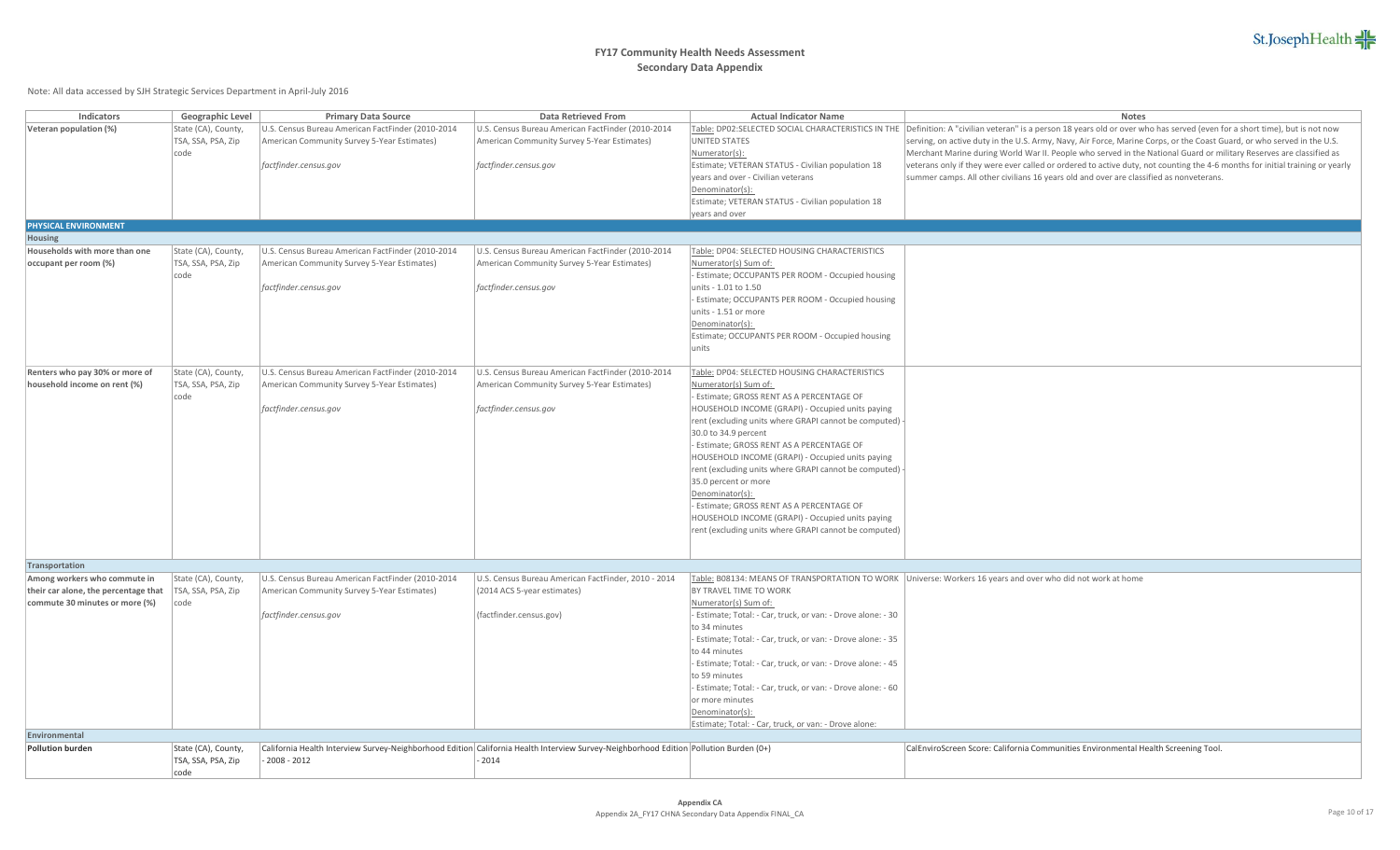

| <b>Indicators</b>                                                                                      | Geographic Level                                  | <b>Primary Data Source</b>                                                                                                | <b>Data Retrieved From</b>                                                                                                                       | <b>Actual Indicator Name</b>                                                                                                                                                                                                                                                                                                                                                                                                                                                                                                                                                                                           | <b>Notes</b>                                                                                                                                                                                                                                                                                                                                                                                                                                                                                                                                                 |
|--------------------------------------------------------------------------------------------------------|---------------------------------------------------|---------------------------------------------------------------------------------------------------------------------------|--------------------------------------------------------------------------------------------------------------------------------------------------|------------------------------------------------------------------------------------------------------------------------------------------------------------------------------------------------------------------------------------------------------------------------------------------------------------------------------------------------------------------------------------------------------------------------------------------------------------------------------------------------------------------------------------------------------------------------------------------------------------------------|--------------------------------------------------------------------------------------------------------------------------------------------------------------------------------------------------------------------------------------------------------------------------------------------------------------------------------------------------------------------------------------------------------------------------------------------------------------------------------------------------------------------------------------------------------------|
| Veteran population (%)                                                                                 | State (CA), County,<br>TSA, SSA, PSA, Zip<br>code | U.S. Census Bureau American FactFinder (2010-2014<br>American Community Survey 5-Year Estimates)<br>factfinder.census.gov | U.S. Census Bureau American FactFinder (2010-2014<br>American Community Survey 5-Year Estimates)<br>factfinder.census.gov                        | <b>UNITED STATES</b><br>Numerator(s):<br>Estimate; VETERAN STATUS - Civilian population 18                                                                                                                                                                                                                                                                                                                                                                                                                                                                                                                             | Table: DP02:SELECTED SOCIAL CHARACTERISTICS IN THE Definition: A "civilian veteran" is a person 18 years old or over who has served (even for a short time), but is not now<br>serving, on active duty in the U.S. Army, Navy, Air Force, Marine Corps, or the Coast Guard, or who served in the U.S.<br>Merchant Marine during World War II. People who served in the National Guard or military Reserves are classified as<br>veterans only if they were ever called or ordered to active duty, not counting the 4-6 months for initial training or yearly |
|                                                                                                        |                                                   |                                                                                                                           |                                                                                                                                                  | years and over - Civilian veterans<br>Denominator(s):<br>Estimate; VETERAN STATUS - Civilian population 18<br>years and over                                                                                                                                                                                                                                                                                                                                                                                                                                                                                           | summer camps. All other civilians 16 years old and over are classified as nonveterans.                                                                                                                                                                                                                                                                                                                                                                                                                                                                       |
| PHYSICAL ENVIRONMENT                                                                                   |                                                   |                                                                                                                           |                                                                                                                                                  |                                                                                                                                                                                                                                                                                                                                                                                                                                                                                                                                                                                                                        |                                                                                                                                                                                                                                                                                                                                                                                                                                                                                                                                                              |
| Housing                                                                                                |                                                   |                                                                                                                           |                                                                                                                                                  |                                                                                                                                                                                                                                                                                                                                                                                                                                                                                                                                                                                                                        |                                                                                                                                                                                                                                                                                                                                                                                                                                                                                                                                                              |
| Households with more than one<br>occupant per room (%)                                                 | State (CA), County,<br>TSA, SSA, PSA, Zip         | U.S. Census Bureau American FactFinder (2010-2014<br>American Community Survey 5-Year Estimates)                          | U.S. Census Bureau American FactFinder (2010-2014<br>American Community Survey 5-Year Estimates)                                                 | Table: DP04: SELECTED HOUSING CHARACTERISTICS<br>Numerator(s) Sum of:                                                                                                                                                                                                                                                                                                                                                                                                                                                                                                                                                  |                                                                                                                                                                                                                                                                                                                                                                                                                                                                                                                                                              |
|                                                                                                        | code                                              | factfinder.census.gov                                                                                                     | factfinder.census.gov                                                                                                                            | Estimate; OCCUPANTS PER ROOM - Occupied housing<br>units - 1.01 to 1.50<br>- Estimate; OCCUPANTS PER ROOM - Occupied housing<br>units - 1.51 or more<br>Denominator(s):<br>Estimate; OCCUPANTS PER ROOM - Occupied housing<br>units                                                                                                                                                                                                                                                                                                                                                                                    |                                                                                                                                                                                                                                                                                                                                                                                                                                                                                                                                                              |
| Renters who pay 30% or more of<br>household income on rent (%)                                         | State (CA), County,<br>TSA, SSA, PSA, Zip<br>code | U.S. Census Bureau American FactFinder (2010-2014<br>American Community Survey 5-Year Estimates)<br>factfinder.census.gov | U.S. Census Bureau American FactFinder (2010-2014<br>American Community Survey 5-Year Estimates)<br>factfinder.census.gov                        | Table: DP04: SELECTED HOUSING CHARACTERISTICS<br>Numerator(s) Sum of:<br>Estimate; GROSS RENT AS A PERCENTAGE OF<br>HOUSEHOLD INCOME (GRAPI) - Occupied units paying<br>rent (excluding units where GRAPI cannot be computed) -<br>30.0 to 34.9 percent<br>- Estimate; GROSS RENT AS A PERCENTAGE OF<br>HOUSEHOLD INCOME (GRAPI) - Occupied units paying<br>rent (excluding units where GRAPI cannot be computed)<br>35.0 percent or more<br>Denominator(s):<br>- Estimate; GROSS RENT AS A PERCENTAGE OF<br>HOUSEHOLD INCOME (GRAPI) - Occupied units paying<br>rent (excluding units where GRAPI cannot be computed) |                                                                                                                                                                                                                                                                                                                                                                                                                                                                                                                                                              |
| Transportation                                                                                         |                                                   |                                                                                                                           |                                                                                                                                                  |                                                                                                                                                                                                                                                                                                                                                                                                                                                                                                                                                                                                                        |                                                                                                                                                                                                                                                                                                                                                                                                                                                                                                                                                              |
| Among workers who commute in<br>their car alone, the percentage that<br>commute 30 minutes or more (%) | State (CA), County,<br>TSA, SSA, PSA, Zip<br>code | U.S. Census Bureau American FactFinder (2010-2014<br>American Community Survey 5-Year Estimates)<br>factfinder.census.gov | U.S. Census Bureau American FactFinder, 2010 - 2014<br>(2014 ACS 5-year estimates)<br>(factfinder.census.gov)                                    | BY TRAVEL TIME TO WORK<br>Numerator(s) Sum of:<br>Estimate; Total: - Car, truck, or van: - Drove alone: - 30<br>to 34 minutes<br>Estimate; Total: - Car, truck, or van: - Drove alone: - 35<br>to 44 minutes<br>Estimate; Total: - Car, truck, or van: - Drove alone: - 45<br>to 59 minutes<br>Estimate; Total: - Car, truck, or van: - Drove alone: - 60<br>or more minutes<br>Denominator(s):<br>Estimate; Total: - Car, truck, or van: - Drove alone:                                                                                                                                                               | Table: B08134: MEANS OF TRANSPORTATION TO WORK Universe: Workers 16 years and over who did not work at home                                                                                                                                                                                                                                                                                                                                                                                                                                                  |
| Environmental                                                                                          |                                                   |                                                                                                                           |                                                                                                                                                  |                                                                                                                                                                                                                                                                                                                                                                                                                                                                                                                                                                                                                        |                                                                                                                                                                                                                                                                                                                                                                                                                                                                                                                                                              |
| <b>Pollution burden</b>                                                                                | State (CA), County,<br>TSA, SSA, PSA, Zip<br>code | $-2008 - 2012$                                                                                                            | California Health Interview Survey-Neighborhood Edition California Health Interview Survey-Neighborhood Edition Pollution Burden (0+)<br>$-2014$ |                                                                                                                                                                                                                                                                                                                                                                                                                                                                                                                                                                                                                        | CalEnviroScreen Score: California Communities Environmental Health Screening Tool.                                                                                                                                                                                                                                                                                                                                                                                                                                                                           |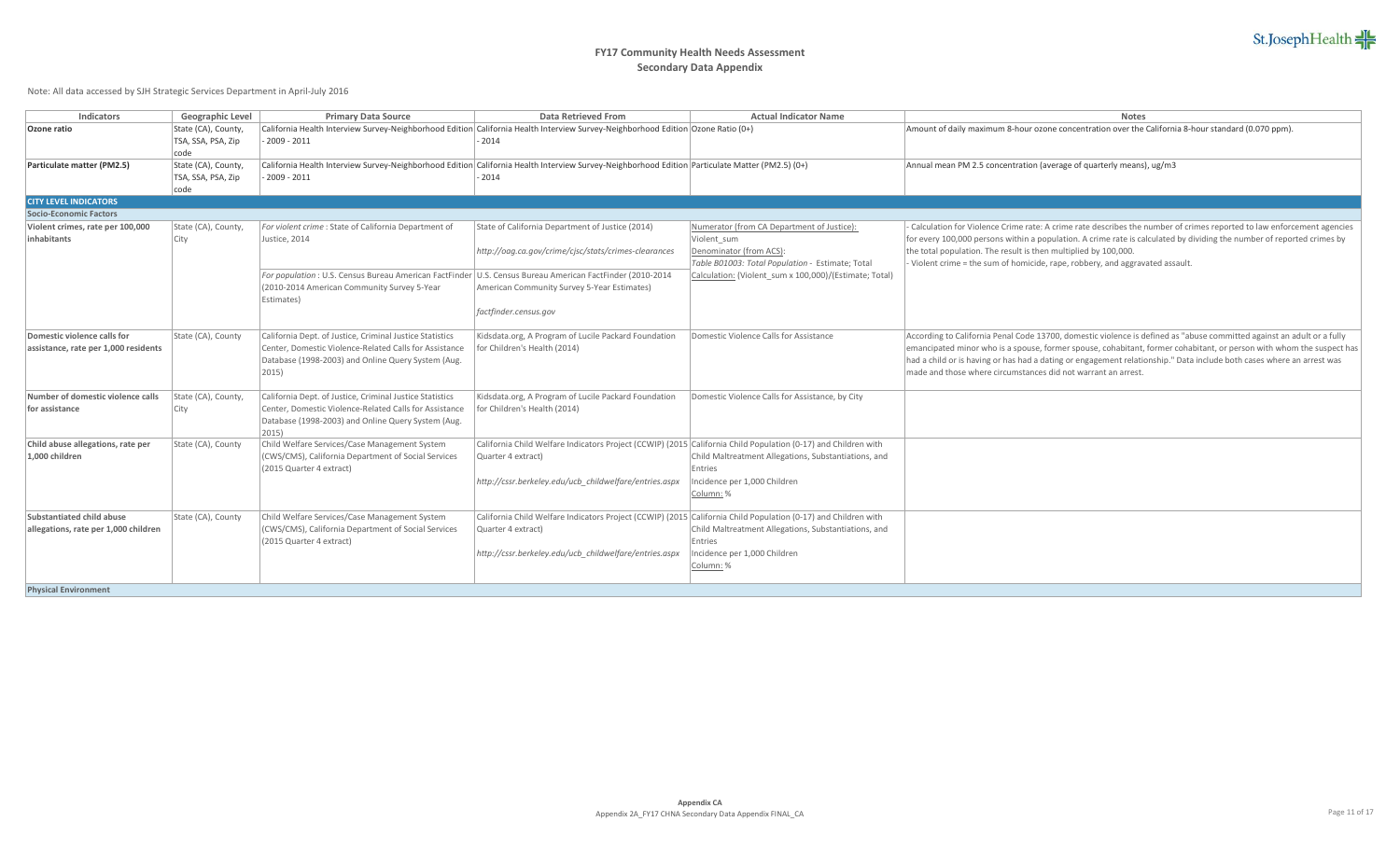

| Indicators                           | Geographic Level    | <b>Primary Data Source</b>                                                                                                                      | <b>Data Retrieved From</b>                                                                                     | <b>Actual Indicator Name</b>                           | <b>Notes</b>                                                                                                           |
|--------------------------------------|---------------------|-------------------------------------------------------------------------------------------------------------------------------------------------|----------------------------------------------------------------------------------------------------------------|--------------------------------------------------------|------------------------------------------------------------------------------------------------------------------------|
| Ozone ratio                          | State (CA), County, | California Health Interview Survey-Neighborhood Edition California Health Interview Survey-Neighborhood Edition Ozone Ratio (0+)                |                                                                                                                |                                                        | Amount of daily maximum 8-hour ozone concentration over the California 8-hour standard (0.070 ppm).                    |
|                                      | TSA, SSA, PSA, Zip  | $2009 - 2011$                                                                                                                                   | $-2014$                                                                                                        |                                                        |                                                                                                                        |
|                                      | code                |                                                                                                                                                 |                                                                                                                |                                                        |                                                                                                                        |
| Particulate matter (PM2.5)           | State (CA), County, | California Health Interview Survey-Neighborhood Edition California Health Interview Survey-Neighborhood Edition Particulate Matter (PM2.5) (0+) |                                                                                                                |                                                        | Annual mean PM 2.5 concentration (average of quarterly means), ug/m3                                                   |
|                                      | TSA, SSA, PSA, Zip  | $2009 - 2011$                                                                                                                                   | 2014                                                                                                           |                                                        |                                                                                                                        |
|                                      | code                |                                                                                                                                                 |                                                                                                                |                                                        |                                                                                                                        |
| <b>CITY LEVEL INDICATORS</b>         |                     |                                                                                                                                                 |                                                                                                                |                                                        |                                                                                                                        |
| Socio-Economic Factors               |                     |                                                                                                                                                 |                                                                                                                |                                                        |                                                                                                                        |
| Violent crimes, rate per 100,000     | State (CA), County, | For violent crime : State of California Department of                                                                                           | State of California Department of Justice (2014)                                                               | Numerator (from CA Department of Justice):             | Calculation for Violence Crime rate: A crime rate describes the number of crimes reported to law enforcement agencies  |
| inhabitants                          | City                | Justice, 2014                                                                                                                                   |                                                                                                                | Violent sum                                            | for every 100,000 persons within a population. A crime rate is calculated by dividing the number of reported crimes by |
|                                      |                     |                                                                                                                                                 | http://oag.ca.gov/crime/cjsc/stats/crimes-clearances                                                           | Denominator (from ACS):                                | the total population. The result is then multiplied by 100,000.                                                        |
|                                      |                     |                                                                                                                                                 |                                                                                                                | Table B01003: Total Population - Estimate; Total       | Violent crime = the sum of homicide, rape, robbery, and aggravated assault.                                            |
|                                      |                     | For population : U.S. Census Bureau American FactFinder U.S. Census Bureau American FactFinder (2010-2014                                       |                                                                                                                | Calculation: (Violent sum x 100,000)/(Estimate; Total) |                                                                                                                        |
|                                      |                     | (2010-2014 American Community Survey 5-Year                                                                                                     | American Community Survey 5-Year Estimates)                                                                    |                                                        |                                                                                                                        |
|                                      |                     | Estimates)                                                                                                                                      |                                                                                                                |                                                        |                                                                                                                        |
|                                      |                     |                                                                                                                                                 | factfinder.census.gov                                                                                          |                                                        |                                                                                                                        |
|                                      |                     |                                                                                                                                                 |                                                                                                                |                                                        |                                                                                                                        |
| Domestic violence calls for          | State (CA), County  | California Dept. of Justice, Criminal Justice Statistics                                                                                        | Kidsdata.org, A Program of Lucile Packard Foundation                                                           | Domestic Violence Calls for Assistance                 | According to California Penal Code 13700, domestic violence is defined as "abuse committed against an adult or a fully |
| assistance, rate per 1,000 residents |                     | Center, Domestic Violence-Related Calls for Assistance                                                                                          | for Children's Health (2014)                                                                                   |                                                        | emancipated minor who is a spouse, former spouse, cohabitant, former cohabitant, or person with whom the suspect has   |
|                                      |                     | Database (1998-2003) and Online Query System (Aug.                                                                                              |                                                                                                                |                                                        | had a child or is having or has had a dating or engagement relationship." Data include both cases where an arrest was  |
|                                      |                     | $ 2015\rangle$                                                                                                                                  |                                                                                                                |                                                        | made and those where circumstances did not warrant an arrest.                                                          |
|                                      |                     |                                                                                                                                                 |                                                                                                                |                                                        |                                                                                                                        |
| Number of domestic violence calls    | State (CA), County, | California Dept. of Justice, Criminal Justice Statistics                                                                                        | Kidsdata.org, A Program of Lucile Packard Foundation                                                           | Domestic Violence Calls for Assistance, by City        |                                                                                                                        |
| for assistance                       | City                | Center, Domestic Violence-Related Calls for Assistance                                                                                          | for Children's Health (2014)                                                                                   |                                                        |                                                                                                                        |
|                                      |                     | Database (1998-2003) and Online Query System (Aug.                                                                                              |                                                                                                                |                                                        |                                                                                                                        |
|                                      |                     | 2015)                                                                                                                                           |                                                                                                                |                                                        |                                                                                                                        |
| Child abuse allegations, rate per    | State (CA), County  | Child Welfare Services/Case Management System                                                                                                   | California Child Welfare Indicators Project (CCWIP) (2015 California Child Population (0-17) and Children with |                                                        |                                                                                                                        |
| 1,000 children                       |                     | (CWS/CMS), California Department of Social Services                                                                                             | Quarter 4 extract)                                                                                             | Child Maltreatment Allegations, Substantiations, and   |                                                                                                                        |
|                                      |                     | (2015 Quarter 4 extract)                                                                                                                        |                                                                                                                | Entries                                                |                                                                                                                        |
|                                      |                     |                                                                                                                                                 | http://cssr.berkeley.edu/ucb childwelfare/entries.aspx                                                         | Incidence per 1,000 Children                           |                                                                                                                        |
|                                      |                     |                                                                                                                                                 |                                                                                                                | Column: %                                              |                                                                                                                        |
| Substantiated child abuse            | State (CA), County  |                                                                                                                                                 |                                                                                                                |                                                        |                                                                                                                        |
|                                      |                     | Child Welfare Services/Case Management System<br>(CWS/CMS), California Department of Social Services                                            | California Child Welfare Indicators Project (CCWIP) (2015 California Child Population (0-17) and Children with | Child Maltreatment Allegations, Substantiations, and   |                                                                                                                        |
| allegations, rate per 1,000 children |                     | (2015 Quarter 4 extract)                                                                                                                        | Quarter 4 extract)                                                                                             | Entries                                                |                                                                                                                        |
|                                      |                     |                                                                                                                                                 | http://cssr.berkeley.edu/ucb childwelfare/entries.aspx                                                         | Incidence per 1,000 Children                           |                                                                                                                        |
|                                      |                     |                                                                                                                                                 |                                                                                                                |                                                        |                                                                                                                        |
|                                      |                     |                                                                                                                                                 |                                                                                                                | Column: %                                              |                                                                                                                        |
| <b>Physical Environment</b>          |                     |                                                                                                                                                 |                                                                                                                |                                                        |                                                                                                                        |
|                                      |                     |                                                                                                                                                 |                                                                                                                |                                                        |                                                                                                                        |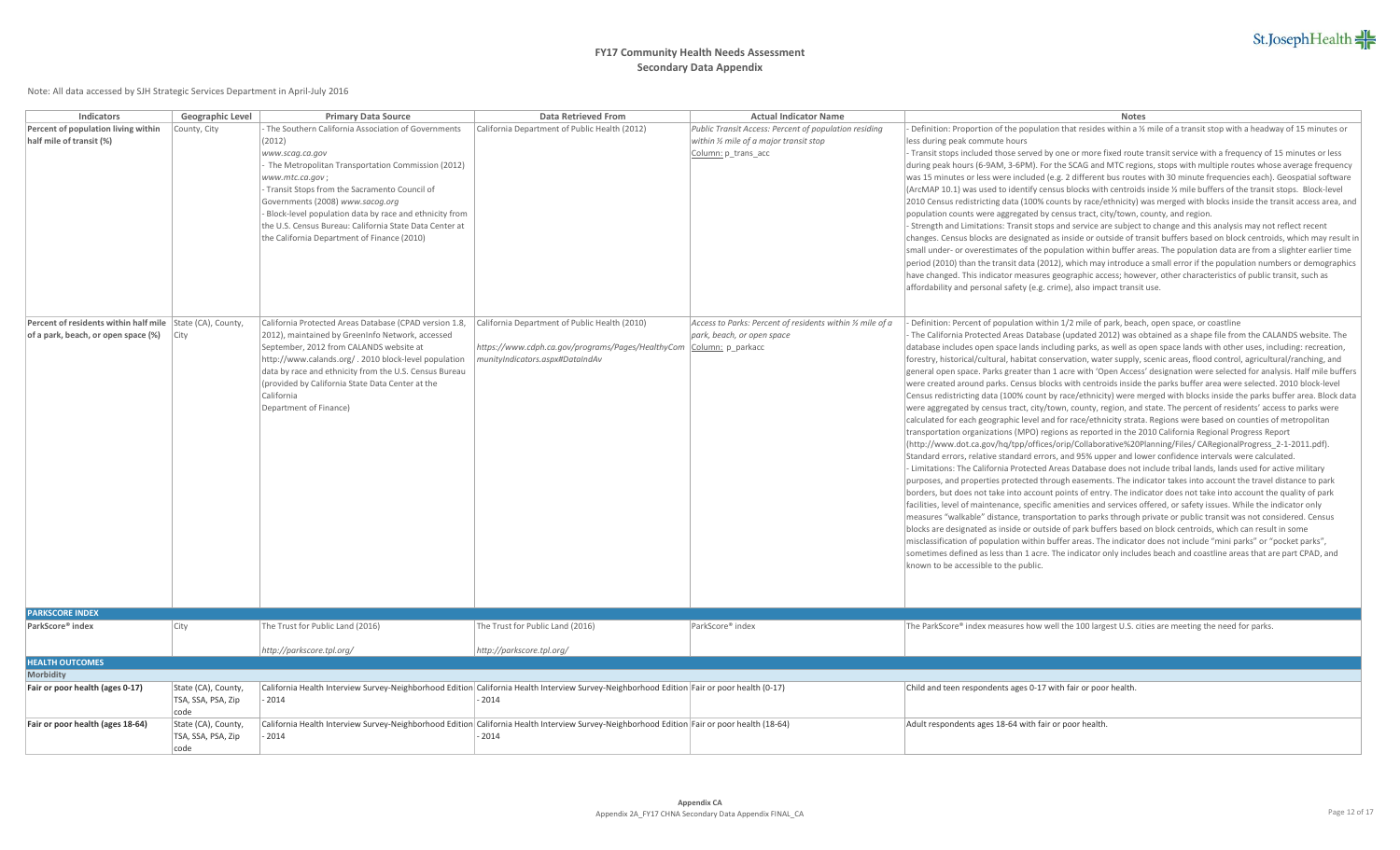| <b>Indicators</b>                                         | Geographic Level    | <b>Primary Data Source</b>                              | Data Retrieved From                                                                                                                         | <b>Actual Indicator Name</b>                               | <b>Notes</b>                                                                                                                          |
|-----------------------------------------------------------|---------------------|---------------------------------------------------------|---------------------------------------------------------------------------------------------------------------------------------------------|------------------------------------------------------------|---------------------------------------------------------------------------------------------------------------------------------------|
| Percent of population living within                       | County, City        | The Southern California Association of Governments      | California Department of Public Health (2012)                                                                                               | Public Transit Access: Percent of population residing      | Definition: Proportion of the population that resides within a $\frac{1}{2}$ mile of a transit stop with a headway of 15 minutes or   |
| half mile of transit (%)                                  |                     | (2012)                                                  |                                                                                                                                             | within 1/2 mile of a major transit stop                    | less during peak commute hours                                                                                                        |
|                                                           |                     | www.scag.ca.gov                                         |                                                                                                                                             | Column: p_trans_acc                                        | Transit stops included those served by one or more fixed route transit service with a frequency of 15 minutes or less                 |
|                                                           |                     | The Metropolitan Transportation Commission (2012)       |                                                                                                                                             |                                                            | during peak hours (6-9AM, 3-6PM). For the SCAG and MTC regions, stops with multiple routes whose average frequency                    |
|                                                           |                     | www.mtc.ca.gov;                                         |                                                                                                                                             |                                                            | was 15 minutes or less were included (e.g. 2 different bus routes with 30 minute frequencies each). Geospatial software               |
|                                                           |                     | - Transit Stops from the Sacramento Council of          |                                                                                                                                             |                                                            | $(ArcMAP 10.1)$ was used to identify census blocks with centroids inside $\frac{1}{2}$ mile buffers of the transit stops. Block-level |
|                                                           |                     | Governments (2008) www.sacog.org                        |                                                                                                                                             |                                                            | 2010 Census redistricting data (100% counts by race/ethnicity) was merged with blocks inside the transit access area, and             |
|                                                           |                     | Block-level population data by race and ethnicity from  |                                                                                                                                             |                                                            | population counts were aggregated by census tract, city/town, county, and region.                                                     |
|                                                           |                     | the U.S. Census Bureau: California State Data Center at |                                                                                                                                             |                                                            | - Strength and Limitations: Transit stops and service are subject to change and this analysis may not reflect recent                  |
|                                                           |                     | the California Department of Finance (2010)             |                                                                                                                                             |                                                            | changes. Census blocks are designated as inside or outside of transit buffers based on block centroids, which may result in           |
|                                                           |                     |                                                         |                                                                                                                                             |                                                            | small under- or overestimates of the population within buffer areas. The population data are from a slighter earlier time             |
|                                                           |                     |                                                         |                                                                                                                                             |                                                            | period (2010) than the transit data (2012), which may introduce a small error if the population numbers or demographics               |
|                                                           |                     |                                                         |                                                                                                                                             |                                                            | have changed. This indicator measures geographic access; however, other characteristics of public transit, such as                    |
|                                                           |                     |                                                         |                                                                                                                                             |                                                            | affordability and personal safety (e.g. crime), also impact transit use.                                                              |
|                                                           |                     |                                                         |                                                                                                                                             |                                                            |                                                                                                                                       |
| Percent of residents within half mile State (CA), County, |                     | California Protected Areas Database (CPAD version 1.8,  | California Department of Public Health (2010)                                                                                               | Access to Parks: Percent of residents within 1/2 mile of a | Definition: Percent of population within 1/2 mile of park, beach, open space, or coastline                                            |
| of a park, beach, or open space (%)                       | City                | 2012), maintained by GreenInfo Network, accessed        |                                                                                                                                             | park, beach, or open space                                 | The California Protected Areas Database (updated 2012) was obtained as a shape file from the CALANDS website. The                     |
|                                                           |                     | September, 2012 from CALANDS website at                 | https://www.cdph.ca.gov/programs/Pages/HealthyCom   Column: p_parkacc                                                                       |                                                            | database includes open space lands including parks, as well as open space lands with other uses, including: recreation,               |
|                                                           |                     | http://www.calands.org/. 2010 block-level population    | munityIndicators.aspx#DataIndAv                                                                                                             |                                                            | forestry, historical/cultural, habitat conservation, water supply, scenic areas, flood control, agricultural/ranching, and            |
|                                                           |                     | data by race and ethnicity from the U.S. Census Bureau  |                                                                                                                                             |                                                            | general open space. Parks greater than 1 acre with 'Open Access' designation were selected for analysis. Half mile buffers            |
|                                                           |                     | (provided by California State Data Center at the        |                                                                                                                                             |                                                            | were created around parks. Census blocks with centroids inside the parks buffer area were selected. 2010 block-level                  |
|                                                           |                     | California                                              |                                                                                                                                             |                                                            | Census redistricting data (100% count by race/ethnicity) were merged with blocks inside the parks buffer area. Block data             |
|                                                           |                     | Department of Finance)                                  |                                                                                                                                             |                                                            | were aggregated by census tract, city/town, county, region, and state. The percent of residents' access to parks were                 |
|                                                           |                     |                                                         |                                                                                                                                             |                                                            | calculated for each geographic level and for race/ethnicity strata. Regions were based on counties of metropolitan                    |
|                                                           |                     |                                                         |                                                                                                                                             |                                                            | transportation organizations (MPO) regions as reported in the 2010 California Regional Progress Report                                |
|                                                           |                     |                                                         |                                                                                                                                             |                                                            | (http://www.dot.ca.gov/hq/tpp/offices/orip/Collaborative%20Planning/Files/ CARegionalProgress_2-1-2011.pdf).                          |
|                                                           |                     |                                                         |                                                                                                                                             |                                                            | Standard errors, relative standard errors, and 95% upper and lower confidence intervals were calculated.                              |
|                                                           |                     |                                                         |                                                                                                                                             |                                                            | - Limitations: The California Protected Areas Database does not include tribal lands, lands used for active military                  |
|                                                           |                     |                                                         |                                                                                                                                             |                                                            | purposes, and properties protected through easements. The indicator takes into account the travel distance to park                    |
|                                                           |                     |                                                         |                                                                                                                                             |                                                            | borders, but does not take into account points of entry. The indicator does not take into account the quality of park                 |
|                                                           |                     |                                                         |                                                                                                                                             |                                                            | facilities, level of maintenance, specific amenities and services offered, or safety issues. While the indicator only                 |
|                                                           |                     |                                                         |                                                                                                                                             |                                                            | measures "walkable" distance, transportation to parks through private or public transit was not considered. Census                    |
|                                                           |                     |                                                         |                                                                                                                                             |                                                            | blocks are designated as inside or outside of park buffers based on block centroids, which can result in some                         |
|                                                           |                     |                                                         |                                                                                                                                             |                                                            | misclassification of population within buffer areas. The indicator does not include "mini parks" or "pocket parks",                   |
|                                                           |                     |                                                         |                                                                                                                                             |                                                            | sometimes defined as less than 1 acre. The indicator only includes beach and coastline areas that are part CPAD, and                  |
|                                                           |                     |                                                         |                                                                                                                                             |                                                            | known to be accessible to the public.                                                                                                 |
|                                                           |                     |                                                         |                                                                                                                                             |                                                            |                                                                                                                                       |
|                                                           |                     |                                                         |                                                                                                                                             |                                                            |                                                                                                                                       |
|                                                           |                     |                                                         |                                                                                                                                             |                                                            |                                                                                                                                       |
| <b>PARKSCORE INDEX</b>                                    |                     |                                                         |                                                                                                                                             |                                                            |                                                                                                                                       |
| ParkScore® index                                          | City                | The Trust for Public Land (2016)                        | The Trust for Public Land (2016)                                                                                                            | ParkScore® index                                           | The ParkScore® index measures how well the 100 largest U.S. cities are meeting the need for parks.                                    |
|                                                           |                     | http://parkscore.tpl.org/                               | http://parkscore.tpl.org/                                                                                                                   |                                                            |                                                                                                                                       |
| <b>HEALTH OUTCOMES</b>                                    |                     |                                                         |                                                                                                                                             |                                                            |                                                                                                                                       |
| Morbidity                                                 |                     |                                                         |                                                                                                                                             |                                                            |                                                                                                                                       |
| Fair or poor health (ages 0-17)                           | State (CA), County, |                                                         | California Health Interview Survey-Neighborhood Edition California Health Interview Survey-Neighborhood Edition Fair or poor health (0-17)  |                                                            | Child and teen respondents ages 0-17 with fair or poor health                                                                         |
|                                                           | TSA, SSA, PSA, Zip  | 2014                                                    | $-2014$                                                                                                                                     |                                                            |                                                                                                                                       |
|                                                           | code                |                                                         |                                                                                                                                             |                                                            |                                                                                                                                       |
| Fair or poor health (ages 18-64)                          | State (CA), County, |                                                         | California Health Interview Survey-Neighborhood Edition California Health Interview Survey-Neighborhood Edition Fair or poor health (18-64) |                                                            | Adult respondents ages 18-64 with fair or poor health.                                                                                |
|                                                           | TSA, SSA, PSA, Zip  | 2014                                                    | $-2014$                                                                                                                                     |                                                            |                                                                                                                                       |
|                                                           | code                |                                                         |                                                                                                                                             |                                                            |                                                                                                                                       |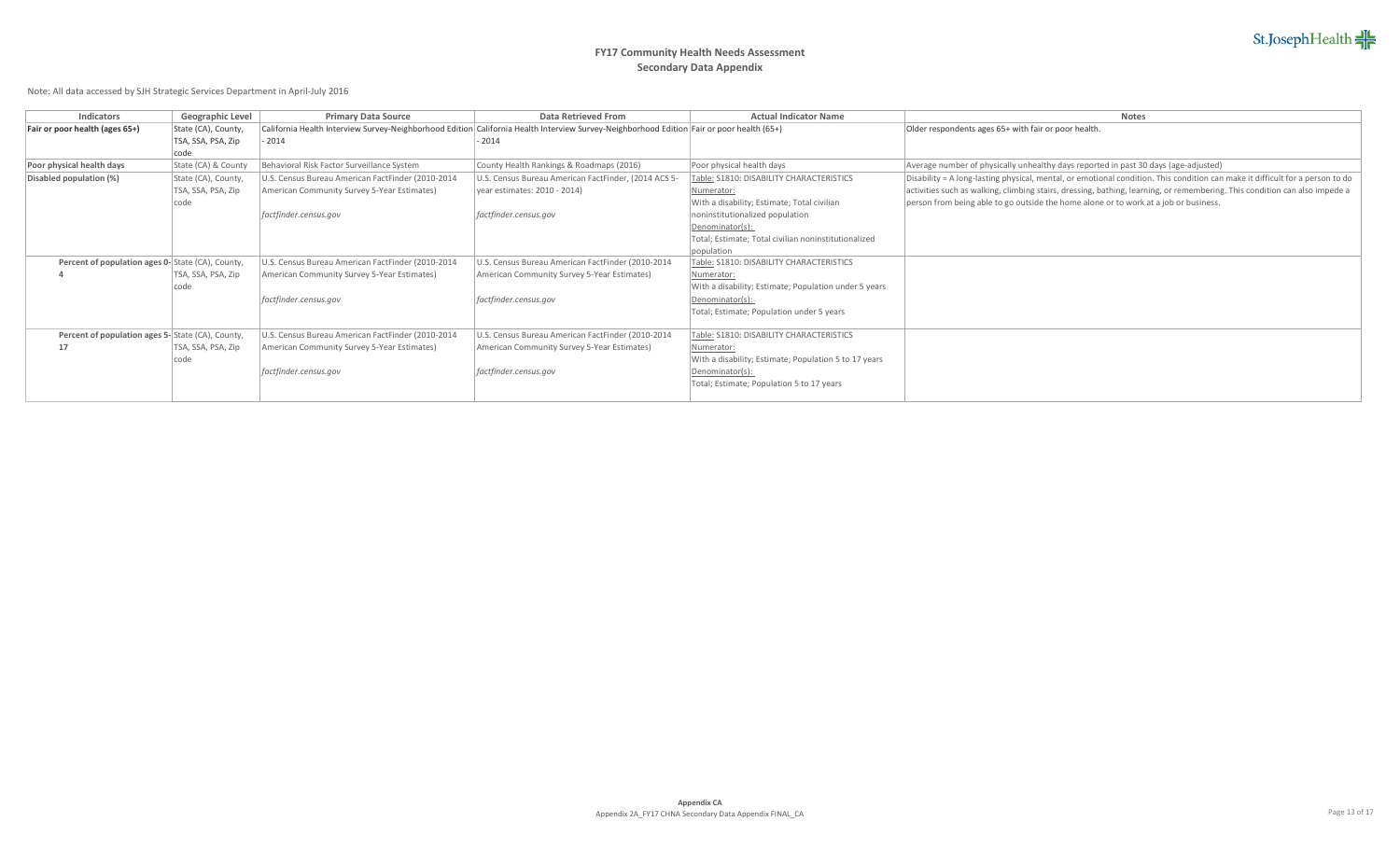| Indicators                                       | Geographic Level    | <b>Primary Data Source</b>                        | Data Retrieved From                                                                                                                       | <b>Actual Indicator Name</b>                          | <b>Notes</b>                                                                                                                  |
|--------------------------------------------------|---------------------|---------------------------------------------------|-------------------------------------------------------------------------------------------------------------------------------------------|-------------------------------------------------------|-------------------------------------------------------------------------------------------------------------------------------|
| Fair or poor health (ages 65+)                   | State (CA), County, |                                                   | California Health Interview Survey-Neighborhood Edition California Health Interview Survey-Neighborhood Edition Fair or poor health (65+) |                                                       | Older respondents ages 65+ with fair or poor health.                                                                          |
|                                                  | TSA, SSA, PSA, Zip  | $-2014$                                           | $-2014$                                                                                                                                   |                                                       |                                                                                                                               |
|                                                  | code                |                                                   |                                                                                                                                           |                                                       |                                                                                                                               |
| Poor physical health days                        | State (CA) & County | Behavioral Risk Factor Surveillance System        | County Health Rankings & Roadmaps (2016)                                                                                                  | Poor physical health days                             | Average number of physically unhealthy days reported in past 30 days (age-adjusted)                                           |
| Disabled population (%)                          | State (CA), County, | U.S. Census Bureau American FactFinder (2010-2014 | U.S. Census Bureau American FactFinder, (2014 ACS 5-                                                                                      | Table: \$1810: DISABILITY CHARACTERISTICS             | Disability = A long-lasting physical, mental, or emotional condition. This condition can make it difficult for a person to do |
|                                                  | TSA, SSA, PSA, Zip  | American Community Survey 5-Year Estimates)       | vear estimates: 2010 - 2014)                                                                                                              | Numerator:                                            | activities such as walking, climbing stairs, dressing, bathing, learning, or remembering. This condition can also impede a    |
|                                                  | code                |                                                   |                                                                                                                                           | With a disability; Estimate; Total civilian           | person from being able to go outside the home alone or to work at a job or business.                                          |
|                                                  |                     | factfinder.census.gov                             | factfinder.census.gov                                                                                                                     | noninstitutionalized population                       |                                                                                                                               |
|                                                  |                     |                                                   |                                                                                                                                           | Denominator(s):                                       |                                                                                                                               |
|                                                  |                     |                                                   |                                                                                                                                           | Total; Estimate; Total civilian noninstitutionalized  |                                                                                                                               |
|                                                  |                     |                                                   |                                                                                                                                           | population                                            |                                                                                                                               |
| Percent of population ages 0-State (CA), County, |                     | U.S. Census Bureau American FactFinder (2010-2014 | U.S. Census Bureau American FactFinder (2010-2014                                                                                         | Table: \$1810: DISABILITY CHARACTERISTICS             |                                                                                                                               |
|                                                  | TSA, SSA, PSA, Zip  | American Community Survey 5-Year Estimates)       | American Community Survey 5-Year Estimates)                                                                                               | Numerator:                                            |                                                                                                                               |
|                                                  | code                |                                                   |                                                                                                                                           | With a disability; Estimate; Population under 5 years |                                                                                                                               |
|                                                  |                     | factfinder.census.gov                             | factfinder.census.gov                                                                                                                     | Denominator(s):                                       |                                                                                                                               |
|                                                  |                     |                                                   |                                                                                                                                           | Total; Estimate; Population under 5 years             |                                                                                                                               |
|                                                  |                     |                                                   |                                                                                                                                           |                                                       |                                                                                                                               |
| Percent of population ages 5-State (CA), County, |                     | U.S. Census Bureau American FactFinder (2010-2014 | U.S. Census Bureau American FactFinder (2010-2014                                                                                         | Table: S1810: DISABILITY CHARACTERISTICS              |                                                                                                                               |
| 17                                               | TSA, SSA, PSA, Zip  | American Community Survey 5-Year Estimates)       | American Community Survey 5-Year Estimates)                                                                                               | Numerator:                                            |                                                                                                                               |
|                                                  | code                |                                                   |                                                                                                                                           | With a disability; Estimate; Population 5 to 17 years |                                                                                                                               |
|                                                  |                     | factfinder.census.gov                             | factfinder.census.gov                                                                                                                     | Denominator(s):                                       |                                                                                                                               |
|                                                  |                     |                                                   |                                                                                                                                           | Total; Estimate; Population 5 to 17 years             |                                                                                                                               |
|                                                  |                     |                                                   |                                                                                                                                           |                                                       |                                                                                                                               |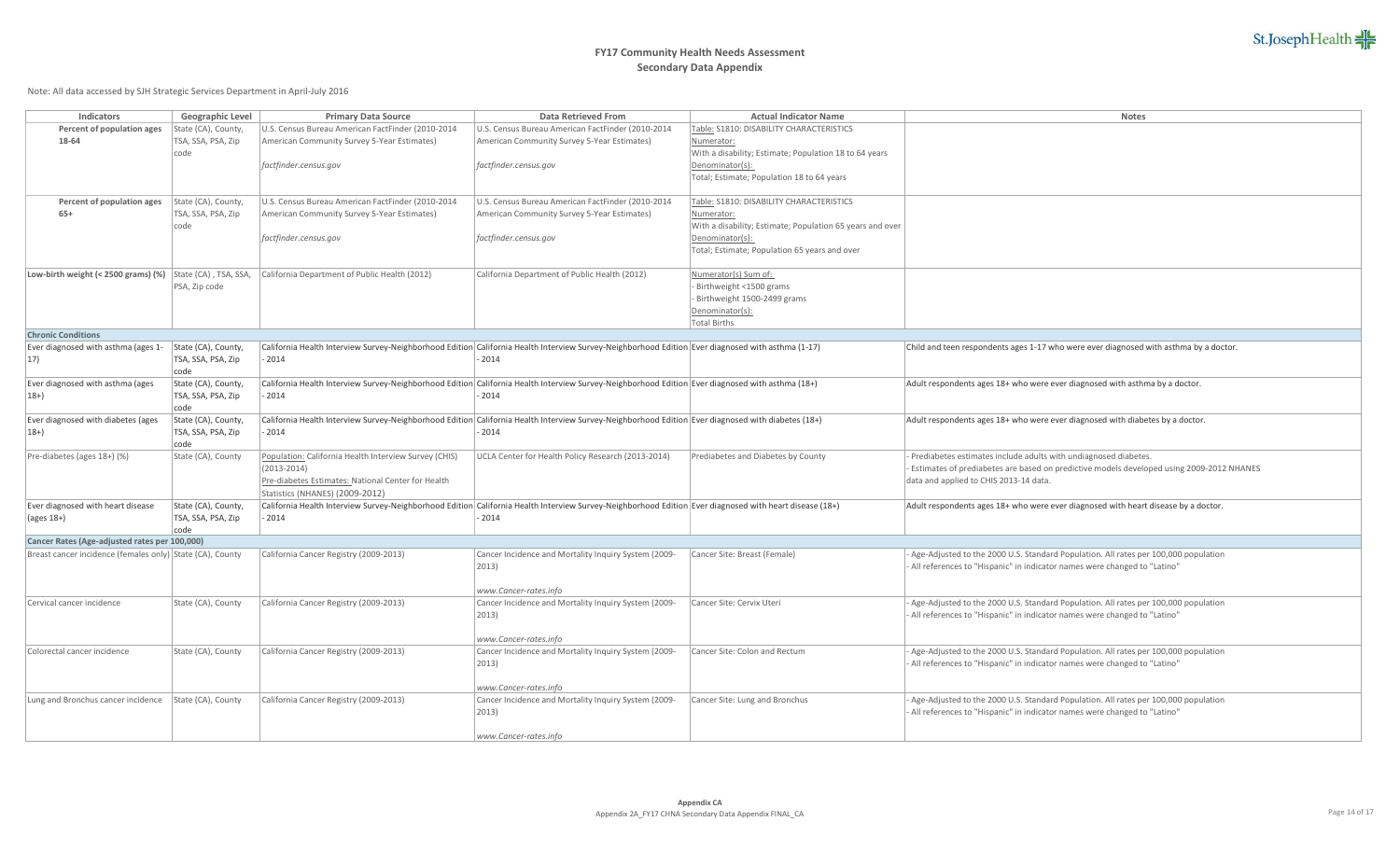

| Indicators                                                | Geographic Level           | <b>Primary Data Source</b>                                                                                                                              | Data Retrieved From                                  | <b>Actual Indicator Name</b>                              | Notes                                                                                    |
|-----------------------------------------------------------|----------------------------|---------------------------------------------------------------------------------------------------------------------------------------------------------|------------------------------------------------------|-----------------------------------------------------------|------------------------------------------------------------------------------------------|
| Percent of population ages                                | State (CA), County,        | U.S. Census Bureau American FactFinder (2010-2014                                                                                                       | U.S. Census Bureau American FactFinder (2010-2014    | Table: \$1810: DISABILITY CHARACTERISTICS                 |                                                                                          |
| 18-64                                                     | TSA, SSA, PSA, Zip         | American Community Survey 5-Year Estimates)                                                                                                             | American Community Survey 5-Year Estimates)          | Numerator:                                                |                                                                                          |
|                                                           | code                       |                                                                                                                                                         |                                                      | With a disability; Estimate; Population 18 to 64 years    |                                                                                          |
|                                                           |                            | factfinder.census.gov                                                                                                                                   | factfinder.census.gov                                | Denominator(s):                                           |                                                                                          |
|                                                           |                            |                                                                                                                                                         |                                                      | Total; Estimate; Population 18 to 64 years                |                                                                                          |
|                                                           |                            |                                                                                                                                                         |                                                      |                                                           |                                                                                          |
| Percent of population ages                                | State (CA), County,        | U.S. Census Bureau American FactFinder (2010-2014                                                                                                       | U.S. Census Bureau American FactFinder (2010-2014    | Table: S1810: DISABILITY CHARACTERISTICS                  |                                                                                          |
| $65+$                                                     | TSA, SSA, PSA, Zip         | American Community Survey 5-Year Estimates)                                                                                                             | American Community Survey 5-Year Estimates)          | Numerator:                                                |                                                                                          |
|                                                           | code                       |                                                                                                                                                         |                                                      | With a disability; Estimate; Population 65 years and over |                                                                                          |
|                                                           |                            | factfinder.census.gov                                                                                                                                   | factfinder.census.gov                                | Denominator(s)                                            |                                                                                          |
|                                                           |                            |                                                                                                                                                         |                                                      | Total; Estimate; Population 65 years and over             |                                                                                          |
|                                                           |                            |                                                                                                                                                         |                                                      |                                                           |                                                                                          |
| Low-birth weight (< 2500 grams) (%) State (CA), TSA, SSA, |                            | California Department of Public Health (2012)                                                                                                           | California Department of Public Health (2012)        | Numerator(s) Sum of:                                      |                                                                                          |
|                                                           | PSA, Zip code              |                                                                                                                                                         |                                                      | - Birthweight <1500 grams                                 |                                                                                          |
|                                                           |                            |                                                                                                                                                         |                                                      | Birthweight 1500-2499 grams                               |                                                                                          |
|                                                           |                            |                                                                                                                                                         |                                                      | Denominator(s):                                           |                                                                                          |
| <b>Chronic Conditions</b>                                 |                            |                                                                                                                                                         |                                                      | Total Births                                              |                                                                                          |
| Ever diagnosed with asthma (ages 1-                       | State (CA), County,        | California Health Interview Survey-Neighborhood Edition California Health Interview Survey-Neighborhood Edition Ever diagnosed with asthma (1-17)       |                                                      |                                                           | Child and teen respondents ages 1-17 who were ever diagnosed with asthma by a doctor.    |
|                                                           |                            | $-2014$                                                                                                                                                 | $-2014$                                              |                                                           |                                                                                          |
| 17)                                                       | TSA, SSA, PSA, Zip<br>code |                                                                                                                                                         |                                                      |                                                           |                                                                                          |
| Ever diagnosed with asthma (ages                          | State (CA), County,        | California Health Interview Survey-Neighborhood Edition California Health Interview Survey-Neighborhood Edition Ever diagnosed with asthma (18+)        |                                                      |                                                           | Adult respondents ages 18+ who were ever diagnosed with asthma by a doctor.              |
| $18+$                                                     | TSA, SSA, PSA, Zip         | $-2014$                                                                                                                                                 | $-2014$                                              |                                                           |                                                                                          |
|                                                           | code                       |                                                                                                                                                         |                                                      |                                                           |                                                                                          |
| Ever diagnosed with diabetes (ages                        | State (CA), County,        | California Health Interview Survey-Neighborhood Edition California Health Interview Survey-Neighborhood Edition Ever diagnosed with diabetes (18+)      |                                                      |                                                           | Adult respondents ages 18+ who were ever diagnosed with diabetes by a doctor.            |
| $18+$                                                     | TSA, SSA, PSA, Zip         | $-2014$                                                                                                                                                 | $-2014$                                              |                                                           |                                                                                          |
|                                                           | code                       |                                                                                                                                                         |                                                      |                                                           |                                                                                          |
| Pre-diabetes (ages 18+) (%)                               | State (CA), County         | Population: California Health Interview Survey (CHIS)                                                                                                   | UCLA Center for Health Policy Research (2013-2014)   | Prediabetes and Diabetes by County                        | Prediabetes estimates include adults with undiagnosed diabetes.                          |
|                                                           |                            | $(2013 - 2014)$                                                                                                                                         |                                                      |                                                           | Estimates of prediabetes are based on predictive models developed using 2009-2012 NHANES |
|                                                           |                            | Pre-diabetes Estimates: National Center for Health                                                                                                      |                                                      |                                                           | data and applied to CHIS 2013-14 data.                                                   |
|                                                           |                            | Statistics (NHANES) (2009-2012)                                                                                                                         |                                                      |                                                           |                                                                                          |
| Ever diagnosed with heart disease                         | State (CA), County,        | California Health Interview Survey-Neighborhood Edition California Health Interview Survey-Neighborhood Edition Ever diagnosed with heart disease (18+) |                                                      |                                                           | Adult respondents ages 18+ who were ever diagnosed with heart disease by a doctor.       |
| (ages 18+)                                                | TSA, SSA, PSA, Zip         | $-2014$                                                                                                                                                 | $-2014$                                              |                                                           |                                                                                          |
|                                                           | code                       |                                                                                                                                                         |                                                      |                                                           |                                                                                          |
| Cancer Rates (Age-adjusted rates per 100,000)             |                            |                                                                                                                                                         |                                                      |                                                           |                                                                                          |
| Breast cancer incidence (females only) State (CA), County |                            | California Cancer Registry (2009-2013)                                                                                                                  | Cancer Incidence and Mortality Inquiry System (2009- | Cancer Site: Breast (Female)                              | Age-Adjusted to the 2000 U.S. Standard Population. All rates per 100,000 population      |
|                                                           |                            |                                                                                                                                                         | $ 2013\rangle$                                       |                                                           | All references to "Hispanic" in indicator names were changed to "Latino"                 |
|                                                           |                            |                                                                                                                                                         |                                                      |                                                           |                                                                                          |
|                                                           |                            |                                                                                                                                                         | www.Cancer-rates.info                                |                                                           |                                                                                          |
| Cervical cancer incidence                                 | State (CA), County         | California Cancer Registry (2009-2013)                                                                                                                  | Cancer Incidence and Mortality Inquiry System (2009- | Cancer Site: Cervix Uteri                                 | Age-Adjusted to the 2000 U.S. Standard Population. All rates per 100,000 population      |
|                                                           |                            |                                                                                                                                                         | $ 2013\rangle$                                       |                                                           | All references to "Hispanic" in indicator names were changed to "Latino"                 |
|                                                           |                            |                                                                                                                                                         |                                                      |                                                           |                                                                                          |
|                                                           |                            |                                                                                                                                                         | www.Cancer-rates.info                                |                                                           |                                                                                          |
| Colorectal cancer incidence                               | State (CA), County         | California Cancer Registry (2009-2013)                                                                                                                  | Cancer Incidence and Mortality Inquiry System (2009- | Cancer Site: Colon and Rectum                             | Age-Adjusted to the 2000 U.S. Standard Population. All rates per 100,000 population      |
|                                                           |                            |                                                                                                                                                         | $ 2013\rangle$                                       |                                                           | All references to "Hispanic" in indicator names were changed to "Latino"                 |
|                                                           |                            |                                                                                                                                                         |                                                      |                                                           |                                                                                          |
|                                                           |                            |                                                                                                                                                         | www.Cancer-rates.info                                |                                                           |                                                                                          |
| Lung and Bronchus cancer incidence                        | State (CA), County         | California Cancer Registry (2009-2013)                                                                                                                  | Cancer Incidence and Mortality Inquiry System (2009- | Cancer Site: Lung and Bronchus                            | Age-Adjusted to the 2000 U.S. Standard Population. All rates per 100,000 population      |
|                                                           |                            |                                                                                                                                                         | $ 2013\rangle$                                       |                                                           | All references to "Hispanic" in indicator names were changed to "Latino"                 |
|                                                           |                            |                                                                                                                                                         |                                                      |                                                           |                                                                                          |
|                                                           |                            |                                                                                                                                                         | www.Cancer-rates.info                                |                                                           |                                                                                          |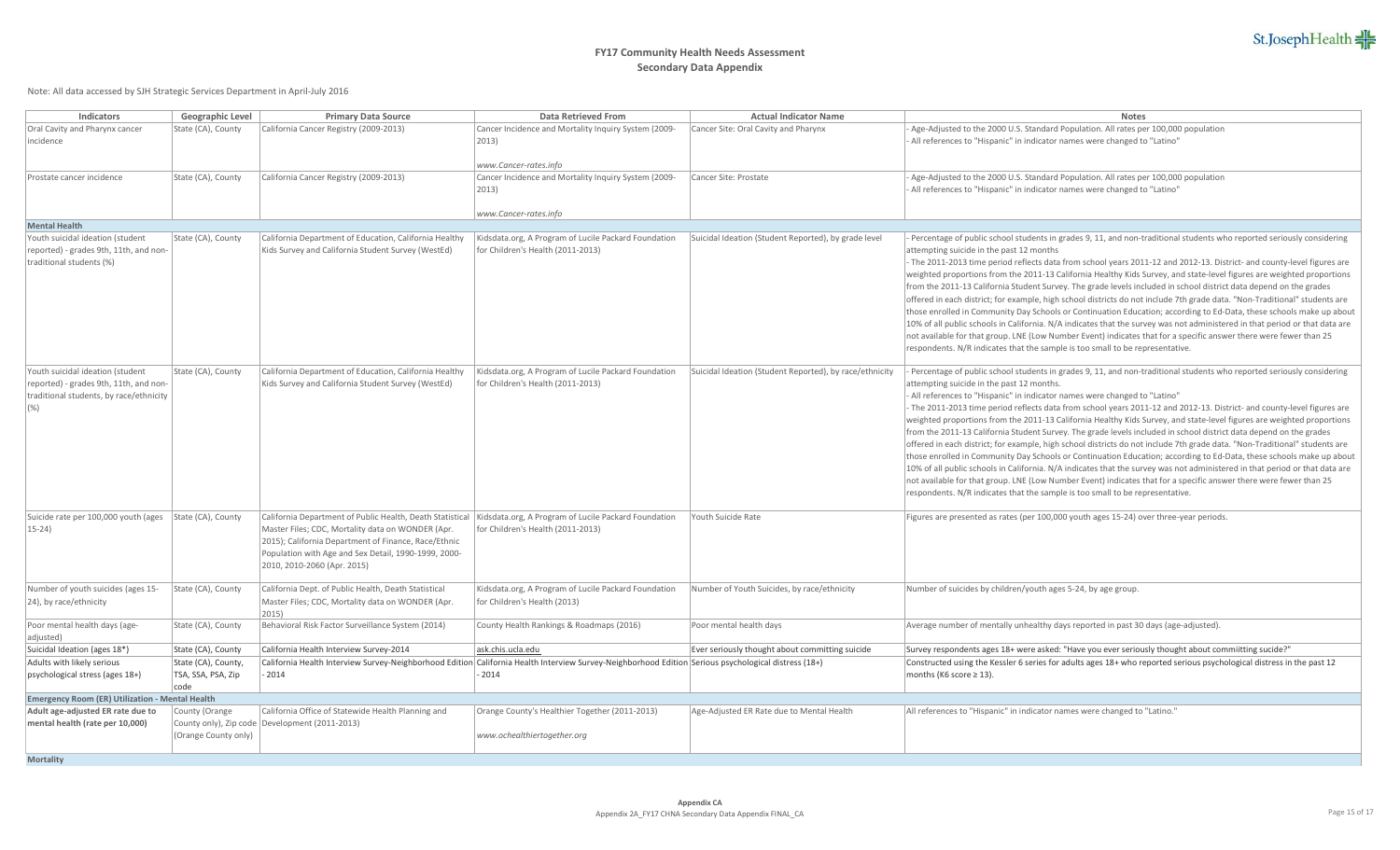

| Indicators                                                                                                                                                                                                                                                                            | Geographic Level           | <b>Primary Data Source</b>                                                                                | <b>Data Retrieved From</b>                                                                                                                                      | <b>Actual Indicator Name</b>                            | <b>Notes</b>                                                                                                                                                                                                                                    |  |  |
|---------------------------------------------------------------------------------------------------------------------------------------------------------------------------------------------------------------------------------------------------------------------------------------|----------------------------|-----------------------------------------------------------------------------------------------------------|-----------------------------------------------------------------------------------------------------------------------------------------------------------------|---------------------------------------------------------|-------------------------------------------------------------------------------------------------------------------------------------------------------------------------------------------------------------------------------------------------|--|--|
| Oral Cavity and Pharynx cancer                                                                                                                                                                                                                                                        | State (CA), County         | California Cancer Registry (2009-2013)                                                                    | Cancer Incidence and Mortality Inquiry System (2009-                                                                                                            | Cancer Site: Oral Cavity and Pharynx                    | Age-Adjusted to the 2000 U.S. Standard Population. All rates per 100,000 population                                                                                                                                                             |  |  |
| incidence                                                                                                                                                                                                                                                                             |                            |                                                                                                           | $ 2013\rangle$                                                                                                                                                  |                                                         | All references to "Hispanic" in indicator names were changed to "Latino"                                                                                                                                                                        |  |  |
|                                                                                                                                                                                                                                                                                       |                            |                                                                                                           |                                                                                                                                                                 |                                                         |                                                                                                                                                                                                                                                 |  |  |
|                                                                                                                                                                                                                                                                                       |                            |                                                                                                           | www.Cancer-rates.info                                                                                                                                           |                                                         |                                                                                                                                                                                                                                                 |  |  |
| Prostate cancer incidence                                                                                                                                                                                                                                                             | State (CA), County         | California Cancer Registry (2009-2013)                                                                    | Cancer Incidence and Mortality Inquiry System (2009-                                                                                                            | Cancer Site: Prostate                                   | Age-Adjusted to the 2000 U.S. Standard Population. All rates per 100,000 population                                                                                                                                                             |  |  |
|                                                                                                                                                                                                                                                                                       |                            |                                                                                                           | $ 2013\rangle$                                                                                                                                                  |                                                         | All references to "Hispanic" in indicator names were changed to "Latino"                                                                                                                                                                        |  |  |
|                                                                                                                                                                                                                                                                                       |                            |                                                                                                           |                                                                                                                                                                 |                                                         |                                                                                                                                                                                                                                                 |  |  |
|                                                                                                                                                                                                                                                                                       |                            |                                                                                                           | www.Cancer-rates.info                                                                                                                                           |                                                         |                                                                                                                                                                                                                                                 |  |  |
| <b>Mental Health</b>                                                                                                                                                                                                                                                                  |                            |                                                                                                           |                                                                                                                                                                 |                                                         |                                                                                                                                                                                                                                                 |  |  |
| Youth suicidal ideation (student                                                                                                                                                                                                                                                      | State (CA), County         | California Department of Education, California Healthy                                                    | Kidsdata.org, A Program of Lucile Packard Foundation                                                                                                            | Suicidal Ideation (Student Reported), by grade level    | Percentage of public school students in grades 9, 11, and non-traditional students who reported seriously considering                                                                                                                           |  |  |
| reported) - grades 9th, 11th, and non-<br>traditional students (%)                                                                                                                                                                                                                    |                            | Kids Survey and California Student Survey (WestEd)                                                        | for Children's Health (2011-2013)                                                                                                                               |                                                         | attempting suicide in the past 12 months<br>The 2011-2013 time period reflects data from school years 2011-12 and 2012-13. District- and county-level figures are                                                                               |  |  |
|                                                                                                                                                                                                                                                                                       |                            |                                                                                                           |                                                                                                                                                                 |                                                         |                                                                                                                                                                                                                                                 |  |  |
|                                                                                                                                                                                                                                                                                       |                            |                                                                                                           |                                                                                                                                                                 |                                                         | weighted proportions from the 2011-13 California Healthy Kids Survey, and state-level figures are weighted proportions<br>from the 2011-13 California Student Survey. The grade levels included in school district data depend on the grades    |  |  |
|                                                                                                                                                                                                                                                                                       |                            |                                                                                                           |                                                                                                                                                                 |                                                         | offered in each district; for example, high school districts do not include 7th grade data. "Non-Traditional" students are                                                                                                                      |  |  |
|                                                                                                                                                                                                                                                                                       |                            |                                                                                                           |                                                                                                                                                                 |                                                         | those enrolled in Community Day Schools or Continuation Education; according to Ed-Data, these schools make up about                                                                                                                            |  |  |
|                                                                                                                                                                                                                                                                                       |                            |                                                                                                           |                                                                                                                                                                 |                                                         | 10% of all public schools in California. N/A indicates that the survey was not administered in that period or that data are                                                                                                                     |  |  |
|                                                                                                                                                                                                                                                                                       |                            |                                                                                                           |                                                                                                                                                                 |                                                         | not available for that group. LNE (Low Number Event) indicates that for a specific answer there were fewer than 25                                                                                                                              |  |  |
|                                                                                                                                                                                                                                                                                       |                            |                                                                                                           |                                                                                                                                                                 |                                                         | respondents. N/R indicates that the sample is too small to be representative.                                                                                                                                                                   |  |  |
|                                                                                                                                                                                                                                                                                       |                            |                                                                                                           |                                                                                                                                                                 |                                                         |                                                                                                                                                                                                                                                 |  |  |
| Youth suicidal ideation (student                                                                                                                                                                                                                                                      | State (CA), County         | California Department of Education, California Healthy                                                    | Kidsdata.org, A Program of Lucile Packard Foundation                                                                                                            | Suicidal Ideation (Student Reported), by race/ethnicity | Percentage of public school students in grades 9, 11, and non-traditional students who reported seriously considering                                                                                                                           |  |  |
| reported) - grades 9th, 11th, and non-                                                                                                                                                                                                                                                |                            | Kids Survey and California Student Survey (WestEd)                                                        | for Children's Health (2011-2013)                                                                                                                               |                                                         | attempting suicide in the past 12 months.                                                                                                                                                                                                       |  |  |
| traditional students, by race/ethnicity<br>(% )                                                                                                                                                                                                                                       |                            |                                                                                                           |                                                                                                                                                                 |                                                         | All references to "Hispanic" in indicator names were changed to "Latino"                                                                                                                                                                        |  |  |
|                                                                                                                                                                                                                                                                                       |                            |                                                                                                           |                                                                                                                                                                 |                                                         | The 2011-2013 time period reflects data from school years 2011-12 and 2012-13. District- and county-level figures are<br>weighted proportions from the 2011-13 California Healthy Kids Survey, and state-level figures are weighted proportions |  |  |
|                                                                                                                                                                                                                                                                                       |                            |                                                                                                           |                                                                                                                                                                 |                                                         | from the 2011-13 California Student Survey. The grade levels included in school district data depend on the grades                                                                                                                              |  |  |
|                                                                                                                                                                                                                                                                                       |                            |                                                                                                           |                                                                                                                                                                 |                                                         | offered in each district; for example, high school districts do not include 7th grade data. "Non-Traditional" students are                                                                                                                      |  |  |
|                                                                                                                                                                                                                                                                                       |                            |                                                                                                           |                                                                                                                                                                 |                                                         | those enrolled in Community Day Schools or Continuation Education; according to Ed-Data, these schools make up about                                                                                                                            |  |  |
|                                                                                                                                                                                                                                                                                       |                            |                                                                                                           |                                                                                                                                                                 |                                                         | 10% of all public schools in California. N/A indicates that the survey was not administered in that period or that data are                                                                                                                     |  |  |
|                                                                                                                                                                                                                                                                                       |                            |                                                                                                           |                                                                                                                                                                 |                                                         | not available for that group. LNE (Low Number Event) indicates that for a specific answer there were fewer than 25                                                                                                                              |  |  |
|                                                                                                                                                                                                                                                                                       |                            |                                                                                                           |                                                                                                                                                                 |                                                         | respondents. N/R indicates that the sample is too small to be representative.                                                                                                                                                                   |  |  |
|                                                                                                                                                                                                                                                                                       |                            |                                                                                                           |                                                                                                                                                                 |                                                         |                                                                                                                                                                                                                                                 |  |  |
| Suicide rate per 100,000 youth (ages                                                                                                                                                                                                                                                  | State (CA), County         |                                                                                                           | California Department of Public Health, Death Statistical   Kidsdata.org, A Program of Lucile Packard Foundation                                                | Youth Suicide Rate                                      | Figures are presented as rates (per 100,000 youth ages 15-24) over three-year periods.                                                                                                                                                          |  |  |
| $15 - 24$                                                                                                                                                                                                                                                                             |                            | Master Files; CDC, Mortality data on WONDER (Apr.<br>2015); California Department of Finance, Race/Ethnic | for Children's Health (2011-2013)                                                                                                                               |                                                         |                                                                                                                                                                                                                                                 |  |  |
|                                                                                                                                                                                                                                                                                       |                            | Population with Age and Sex Detail, 1990-1999, 2000-                                                      |                                                                                                                                                                 |                                                         |                                                                                                                                                                                                                                                 |  |  |
|                                                                                                                                                                                                                                                                                       |                            | 2010, 2010-2060 (Apr. 2015)                                                                               |                                                                                                                                                                 |                                                         |                                                                                                                                                                                                                                                 |  |  |
|                                                                                                                                                                                                                                                                                       |                            |                                                                                                           |                                                                                                                                                                 |                                                         |                                                                                                                                                                                                                                                 |  |  |
| Number of youth suicides (ages 15-                                                                                                                                                                                                                                                    | State (CA), County         | California Dept. of Public Health, Death Statistical                                                      | Kidsdata.org, A Program of Lucile Packard Foundation                                                                                                            | Number of Youth Suicides, by race/ethnicity             | Number of suicides by children/youth ages 5-24, by age group.                                                                                                                                                                                   |  |  |
| [24], by race/ethnicity                                                                                                                                                                                                                                                               |                            | Master Files; CDC, Mortality data on WONDER (Apr.                                                         | for Children's Health (2013)                                                                                                                                    |                                                         |                                                                                                                                                                                                                                                 |  |  |
|                                                                                                                                                                                                                                                                                       |                            | 2015                                                                                                      |                                                                                                                                                                 |                                                         |                                                                                                                                                                                                                                                 |  |  |
| Poor mental health days (age-                                                                                                                                                                                                                                                         | State (CA), County         | Behavioral Risk Factor Surveillance System (2014)                                                         | County Health Rankings & Roadmaps (2016)                                                                                                                        | Poor mental health days                                 | Average number of mentally unhealthy days reported in past 30 days (age-adjusted).                                                                                                                                                              |  |  |
| adjusted)                                                                                                                                                                                                                                                                             |                            |                                                                                                           |                                                                                                                                                                 |                                                         |                                                                                                                                                                                                                                                 |  |  |
| Suicidal Ideation (ages 18*)                                                                                                                                                                                                                                                          | State (CA), County         | California Health Interview Survey-2014                                                                   | ask.chis.ucla.edu                                                                                                                                               | Ever seriously thought about committing suicide         | Survey respondents ages 18+ were asked: "Have you ever seriously thought about commiitting sucide?"                                                                                                                                             |  |  |
| Adults with likely serious                                                                                                                                                                                                                                                            | State (CA), County,        | 2014                                                                                                      | California Health Interview Survey-Neighborhood Edition California Health Interview Survey-Neighborhood Edition Serious psychological distress (18+)<br>$-2014$ |                                                         | Constructed using the Kessler 6 series for adults ages 18+ who reported serious psychological distress in the past 12<br>months (K6 score $\geq$ 13).                                                                                           |  |  |
| psychological stress (ages 18+)                                                                                                                                                                                                                                                       | TSA, SSA, PSA, Zip<br>code |                                                                                                           |                                                                                                                                                                 |                                                         |                                                                                                                                                                                                                                                 |  |  |
| Emergency Room (ER) Utilization - Mental Health                                                                                                                                                                                                                                       |                            |                                                                                                           |                                                                                                                                                                 |                                                         |                                                                                                                                                                                                                                                 |  |  |
| Adult age-adjusted ER rate due to<br>California Office of Statewide Health Planning and<br>County (Orange<br>Orange County's Healthier Together (2011-2013)<br>Age-Adjusted ER Rate due to Mental Health<br>All references to "Hispanic" in indicator names were changed to "Latino." |                            |                                                                                                           |                                                                                                                                                                 |                                                         |                                                                                                                                                                                                                                                 |  |  |
| mental health (rate per 10,000)                                                                                                                                                                                                                                                       |                            | County only), Zip code   Development (2011-2013)                                                          |                                                                                                                                                                 |                                                         |                                                                                                                                                                                                                                                 |  |  |
|                                                                                                                                                                                                                                                                                       | (Orange County only)       |                                                                                                           | www.ochealthiertogether.org                                                                                                                                     |                                                         |                                                                                                                                                                                                                                                 |  |  |
|                                                                                                                                                                                                                                                                                       |                            |                                                                                                           |                                                                                                                                                                 |                                                         |                                                                                                                                                                                                                                                 |  |  |
| <b>Mortality</b>                                                                                                                                                                                                                                                                      |                            |                                                                                                           |                                                                                                                                                                 |                                                         |                                                                                                                                                                                                                                                 |  |  |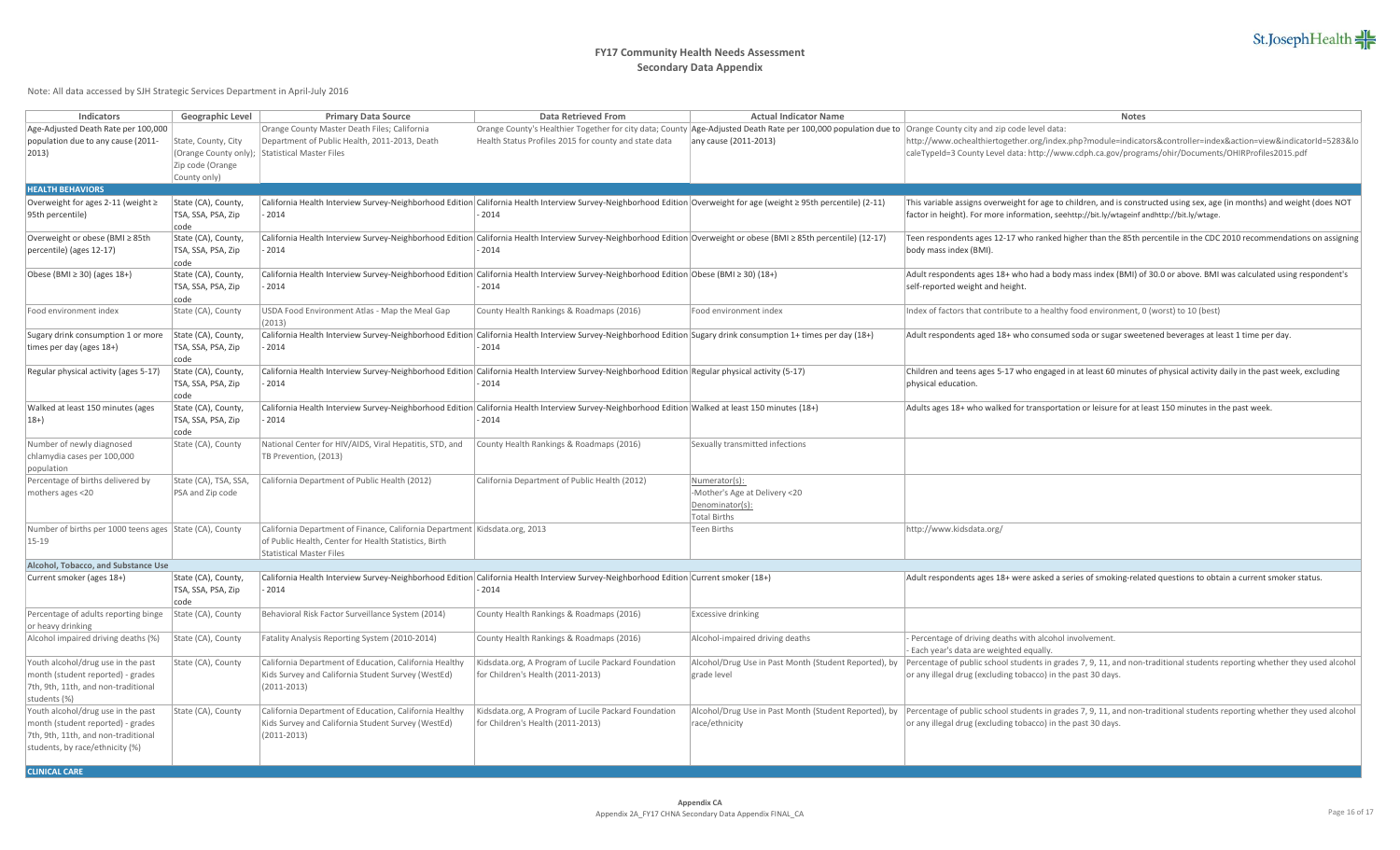

| <b>Indicators</b>                                       | Geographic Level      | <b>Primary Data Source</b>                                                   | <b>Data Retrieved From</b>                                                                                                                                           | <b>Actual Indicator Name</b>                                                                                                                               | <b>Notes</b>                                                                                                                                                                    |
|---------------------------------------------------------|-----------------------|------------------------------------------------------------------------------|----------------------------------------------------------------------------------------------------------------------------------------------------------------------|------------------------------------------------------------------------------------------------------------------------------------------------------------|---------------------------------------------------------------------------------------------------------------------------------------------------------------------------------|
| Age-Adjusted Death Rate per 100,000                     |                       | Orange County Master Death Files; California                                 |                                                                                                                                                                      | Orange County's Healthier Together for city data; County Age-Adjusted Death Rate per 100,000 population due to Orange County city and zip code level data: |                                                                                                                                                                                 |
| population due to any cause (2011-                      | State, County, City   | Department of Public Health, 2011-2013, Death                                | Health Status Profiles 2015 for county and state data                                                                                                                | any cause (2011-2013)                                                                                                                                      | http://www.ochealthiertogether.org/index.php?module=indicators&controller=index&action=view&indicatorId=5283&lo                                                                 |
| $ 2013\rangle$                                          |                       | (Orange County only); Statistical Master Files                               |                                                                                                                                                                      |                                                                                                                                                            | caleTypeId=3 County Level data: http://www.cdph.ca.gov/programs/ohir/Documents/OHIRProfiles2015.pdf                                                                             |
|                                                         | Zip code (Orange      |                                                                              |                                                                                                                                                                      |                                                                                                                                                            |                                                                                                                                                                                 |
|                                                         | County only)          |                                                                              |                                                                                                                                                                      |                                                                                                                                                            |                                                                                                                                                                                 |
| <b>HEALTH BEHAVIORS</b>                                 |                       |                                                                              |                                                                                                                                                                      |                                                                                                                                                            |                                                                                                                                                                                 |
| Overweight for ages 2-11 (weight $\ge$                  | State (CA), County,   |                                                                              | California Health Interview Survey-Neighborhood Edition California Health Interview Survey-Neighborhood Edition Overweight for age (weight ≥ 95th percentile) (2-11) |                                                                                                                                                            | This variable assigns overweight for age to children, and is constructed using sex, age (in months) and weight (does NOT                                                        |
| 95th percentile)                                        | TSA, SSA, PSA, Zip    | 2014                                                                         | $-2014$                                                                                                                                                              |                                                                                                                                                            | factor in height). For more information, seehttp://bit.ly/wtageinf andhttp://bit.ly/wtage.                                                                                      |
|                                                         | code                  |                                                                              |                                                                                                                                                                      |                                                                                                                                                            |                                                                                                                                                                                 |
| Overweight or obese (BMI ≥ 85th                         | State (CA), County,   |                                                                              | California Health Interview Survey-Neighborhood Edition California Health Interview Survey-Neighborhood Edition Overweight or obese (BMI ≥ 85th percentile) (12-17)  |                                                                                                                                                            | Teen respondents ages 12-17 who ranked higher than the 85th percentile in the CDC 2010 recommendations on assigning                                                             |
| percentile) (ages 12-17)                                | TSA, SSA, PSA, Zip    | 2014                                                                         | - 2014                                                                                                                                                               |                                                                                                                                                            | body mass index (BMI).                                                                                                                                                          |
|                                                         | code                  |                                                                              |                                                                                                                                                                      |                                                                                                                                                            |                                                                                                                                                                                 |
| Obese (BMI ≥ 30) (ages 18+)                             | State (CA), County,   |                                                                              | California Health Interview Survey-Neighborhood Edition California Health Interview Survey-Neighborhood Edition Obese (BMI ≥ 30) (18+)                               |                                                                                                                                                            | Adult respondents ages 18+ who had a body mass index (BMI) of 30.0 or above. BMI was calculated using respondent's                                                              |
|                                                         | TSA, SSA, PSA, Zip    | 2014                                                                         | $-2014$                                                                                                                                                              |                                                                                                                                                            | self-reported weight and height.                                                                                                                                                |
|                                                         | code                  |                                                                              |                                                                                                                                                                      |                                                                                                                                                            |                                                                                                                                                                                 |
|                                                         |                       |                                                                              |                                                                                                                                                                      |                                                                                                                                                            |                                                                                                                                                                                 |
| Food environment index                                  | State (CA), County    | USDA Food Environment Atlas - Map the Meal Gap                               | County Health Rankings & Roadmaps (2016)                                                                                                                             | Food environment index                                                                                                                                     | Index of factors that contribute to a healthy food environment, 0 (worst) to 10 (best)                                                                                          |
|                                                         |                       | (2013)                                                                       |                                                                                                                                                                      |                                                                                                                                                            |                                                                                                                                                                                 |
| Sugary drink consumption 1 or more                      | State (CA), County,   |                                                                              | California Health Interview Survey-Neighborhood Edition California Health Interview Survey-Neighborhood Edition Sugary drink consumption 1+ times per day (18+)      |                                                                                                                                                            | Adult respondents aged 18+ who consumed soda or sugar sweetened beverages at least 1 time per day.                                                                              |
| times per day (ages 18+)                                | TSA, SSA, PSA, Zip    | 2014                                                                         | 2014                                                                                                                                                                 |                                                                                                                                                            |                                                                                                                                                                                 |
|                                                         | code                  |                                                                              |                                                                                                                                                                      |                                                                                                                                                            |                                                                                                                                                                                 |
| Regular physical activity (ages 5-17)                   | State (CA), County,   |                                                                              | California Health Interview Survey-Neighborhood Edition California Health Interview Survey-Neighborhood Edition Regular physical activity (5-17)                     |                                                                                                                                                            | Children and teens ages 5-17 who engaged in at least 60 minutes of physical activity daily in the past week, excluding                                                          |
|                                                         | TSA, SSA, PSA, Zip    | 2014                                                                         | 2014                                                                                                                                                                 |                                                                                                                                                            | physical education.                                                                                                                                                             |
|                                                         | code                  |                                                                              |                                                                                                                                                                      |                                                                                                                                                            |                                                                                                                                                                                 |
| Walked at least 150 minutes (ages                       | State (CA), County,   |                                                                              | California Health Interview Survey-Neighborhood Edition California Health Interview Survey-Neighborhood Edition Walked at least 150 minutes (18+)                    |                                                                                                                                                            | Adults ages 18+ who walked for transportation or leisure for at least 150 minutes in the past week.                                                                             |
| $ 18+ \rangle$                                          | TSA, SSA, PSA, Zip    | 2014                                                                         | $-2014$                                                                                                                                                              |                                                                                                                                                            |                                                                                                                                                                                 |
|                                                         | code                  |                                                                              |                                                                                                                                                                      |                                                                                                                                                            |                                                                                                                                                                                 |
| Number of newly diagnosed                               | State (CA), County    | National Center for HIV/AIDS, Viral Hepatitis, STD, and                      | County Health Rankings & Roadmaps (2016)                                                                                                                             | Sexually transmitted infections                                                                                                                            |                                                                                                                                                                                 |
| chlamydia cases per 100,000                             |                       | TB Prevention, (2013)                                                        |                                                                                                                                                                      |                                                                                                                                                            |                                                                                                                                                                                 |
| population                                              |                       |                                                                              |                                                                                                                                                                      |                                                                                                                                                            |                                                                                                                                                                                 |
| Percentage of births delivered by                       | State (CA), TSA, SSA, | California Department of Public Health (2012)                                | California Department of Public Health (2012)                                                                                                                        | Numerator(s):                                                                                                                                              |                                                                                                                                                                                 |
| mothers ages <20                                        | PSA and Zip code      |                                                                              |                                                                                                                                                                      | -Mother's Age at Delivery <20                                                                                                                              |                                                                                                                                                                                 |
|                                                         |                       |                                                                              |                                                                                                                                                                      | Denominator(s):                                                                                                                                            |                                                                                                                                                                                 |
|                                                         |                       |                                                                              |                                                                                                                                                                      | <b>Total Births</b>                                                                                                                                        |                                                                                                                                                                                 |
| Number of births per 1000 teens ages State (CA), County |                       | California Department of Finance, California Department   Kidsdata.org, 2013 |                                                                                                                                                                      | <b>Teen Births</b>                                                                                                                                         | http://www.kidsdata.org/                                                                                                                                                        |
| $15 - 19$                                               |                       | of Public Health, Center for Health Statistics, Birth                        |                                                                                                                                                                      |                                                                                                                                                            |                                                                                                                                                                                 |
|                                                         |                       | <b>Statistical Master Files</b>                                              |                                                                                                                                                                      |                                                                                                                                                            |                                                                                                                                                                                 |
| Alcohol, Tobacco, and Substance Use                     |                       |                                                                              |                                                                                                                                                                      |                                                                                                                                                            |                                                                                                                                                                                 |
| Current smoker (ages 18+)                               | State (CA), County,   |                                                                              | California Health Interview Survey-Neighborhood Edition California Health Interview Survey-Neighborhood Edition Current smoker (18+)                                 |                                                                                                                                                            | Adult respondents ages 18+ were asked a series of smoking-related questions to obtain a current smoker status.                                                                  |
|                                                         | TSA, SSA, PSA, Zip    | $-2014$                                                                      | $-2014$                                                                                                                                                              |                                                                                                                                                            |                                                                                                                                                                                 |
|                                                         | code                  |                                                                              |                                                                                                                                                                      |                                                                                                                                                            |                                                                                                                                                                                 |
| Percentage of adults reporting binge                    | State (CA), County    | Behavioral Risk Factor Surveillance System (2014)                            | County Health Rankings & Roadmaps (2016)                                                                                                                             | <b>Excessive drinking</b>                                                                                                                                  |                                                                                                                                                                                 |
| or heavy drinking                                       |                       |                                                                              |                                                                                                                                                                      |                                                                                                                                                            |                                                                                                                                                                                 |
| Alcohol impaired driving deaths (%)                     | State (CA), County    | Fatality Analysis Reporting System (2010-2014)                               | County Health Rankings & Roadmaps (2016)                                                                                                                             | Alcohol-impaired driving deaths                                                                                                                            | - Percentage of driving deaths with alcohol involvement.                                                                                                                        |
|                                                         |                       |                                                                              |                                                                                                                                                                      |                                                                                                                                                            | - Each year's data are weighted equally.                                                                                                                                        |
| Youth alcohol/drug use in the past                      | State (CA), County    | California Department of Education, California Healthy                       | Kidsdata.org, A Program of Lucile Packard Foundation                                                                                                                 | Alcohol/Drug Use in Past Month (Student Reported), by                                                                                                      | Percentage of public school students in grades 7, 9, 11, and non-traditional students reporting whether they used alcohol                                                       |
| month (student reported) - grades                       |                       | Kids Survey and California Student Survey (WestEd)                           | for Children's Health (2011-2013)                                                                                                                                    | grade level                                                                                                                                                | or any illegal drug (excluding tobacco) in the past 30 days.                                                                                                                    |
| 7th, 9th, 11th, and non-traditional                     |                       | $(2011 - 2013)$                                                              |                                                                                                                                                                      |                                                                                                                                                            |                                                                                                                                                                                 |
| students (%)                                            |                       |                                                                              |                                                                                                                                                                      |                                                                                                                                                            |                                                                                                                                                                                 |
| Youth alcohol/drug use in the past                      | State (CA), County    | California Department of Education, California Healthy                       | Kidsdata.org, A Program of Lucile Packard Foundation                                                                                                                 |                                                                                                                                                            | Alcohol/Drug Use in Past Month (Student Reported), by Percentage of public school students in grades 7, 9, 11, and non-traditional students reporting whether they used alcohol |
|                                                         |                       |                                                                              | for Children's Health (2011-2013)                                                                                                                                    | race/ethnicity                                                                                                                                             |                                                                                                                                                                                 |
| month (student reported) - grades                       |                       | Kids Survey and California Student Survey (WestEd)                           |                                                                                                                                                                      |                                                                                                                                                            | or any illegal drug (excluding tobacco) in the past 30 days.                                                                                                                    |
| 7th, 9th, 11th, and non-traditional                     |                       | $(2011 - 2013)$                                                              |                                                                                                                                                                      |                                                                                                                                                            |                                                                                                                                                                                 |
| students, by race/ethnicity (%)                         |                       |                                                                              |                                                                                                                                                                      |                                                                                                                                                            |                                                                                                                                                                                 |
| <b>CLINICAL CARE</b>                                    |                       |                                                                              |                                                                                                                                                                      |                                                                                                                                                            |                                                                                                                                                                                 |
|                                                         |                       |                                                                              |                                                                                                                                                                      |                                                                                                                                                            |                                                                                                                                                                                 |